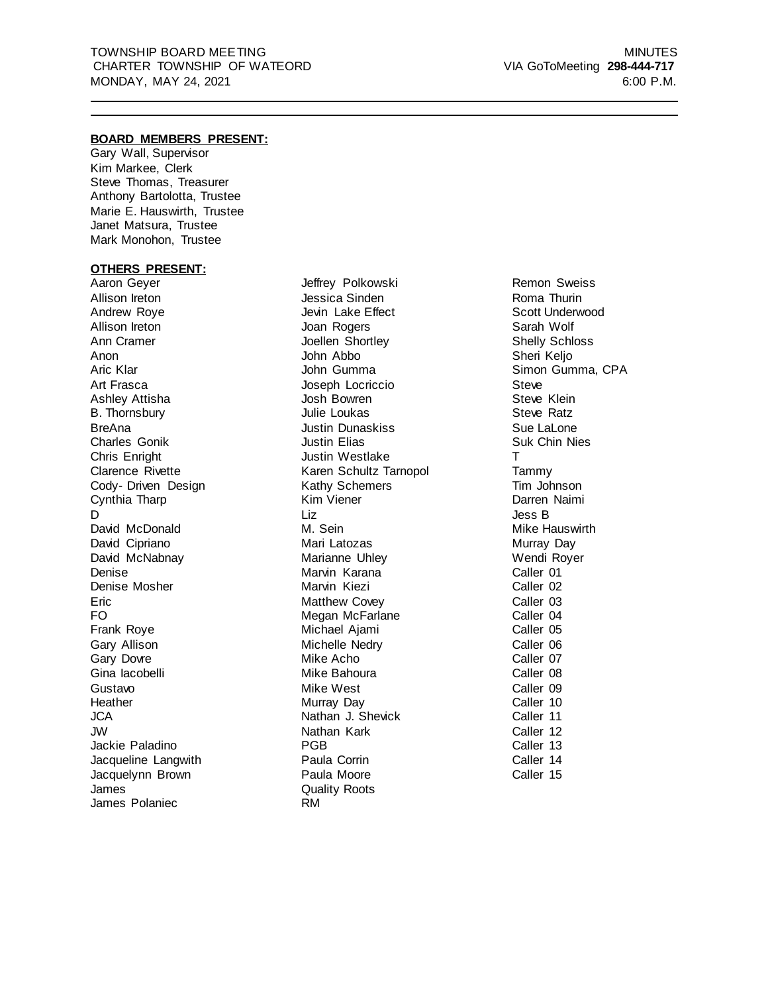#### **BOARD MEMBERS PRESENT:**

Gary Wall, Supervisor Kim Markee, Clerk Steve Thomas, Treasurer Anthony Bartolotta, Trustee Marie E. Hauswirth, Trustee Janet Matsura, Trustee Mark Monohon, Trustee

#### **OTHERS PRESENT:**

Aaron Geyer Allison Ireton Andrew Roye Allison Ireton Ann Cramer Anon Aric Klar Art Frasca Ashley Attisha B. Thornsbury BreAna Charles Gonik Chris Enright Clarence Rivette Cody- Driven Design Cynthia Tharp D. David McDonald David Cipriano David McNabnay Denise Denise Mosher Eric FO Frank Roye Gary Allison Gary Dovre Gina Iacobelli Gustavo **Heather** JCA JW Jackie Paladino Jacqueline Langwith Jacquelynn Brown James James Polaniec

Jeffrey Polkowski Jessica Sinden Jevin Lake Effect Joan Rogers Joellen Shortley John Abbo John Gumma Joseph Locriccio Josh Bowren Julie Loukas Justin Dunaskiss Justin Elias Justin Westlake Karen Schultz Tarnopol Kathy Schemers Kim Viener Liz M. Sein Mari Latozas Marianne Uhley Marvin Karana Marvin Kiezi Matthew Covey Megan McFarlane Michael Ajami Michelle Nedry Mike Acho Mike Bahoura Mike West Murray Day Nathan J. Shevick Nathan Kark PGB Paula Corrin Paula Moore Quality Roots RM

Remon Sweiss Roma Thurin Scott Underwood Sarah Wolf Shelly Schloss Sheri Kelio Simon Gumma, CPA Steve Steve Klein Steve Ratz Sue LaLone Suk Chin Nies T Tammy Tim Johnson Darren Naimi Jess B Mike Hauswirth Murray Day Wendi Royer Caller 01 Caller 02 Caller 03 Caller 04 Caller 05 Caller 06 Caller 07 Caller 08 Caller 09 Caller 10 Caller 11 Caller 12 Caller 13 Caller 14 Caller 15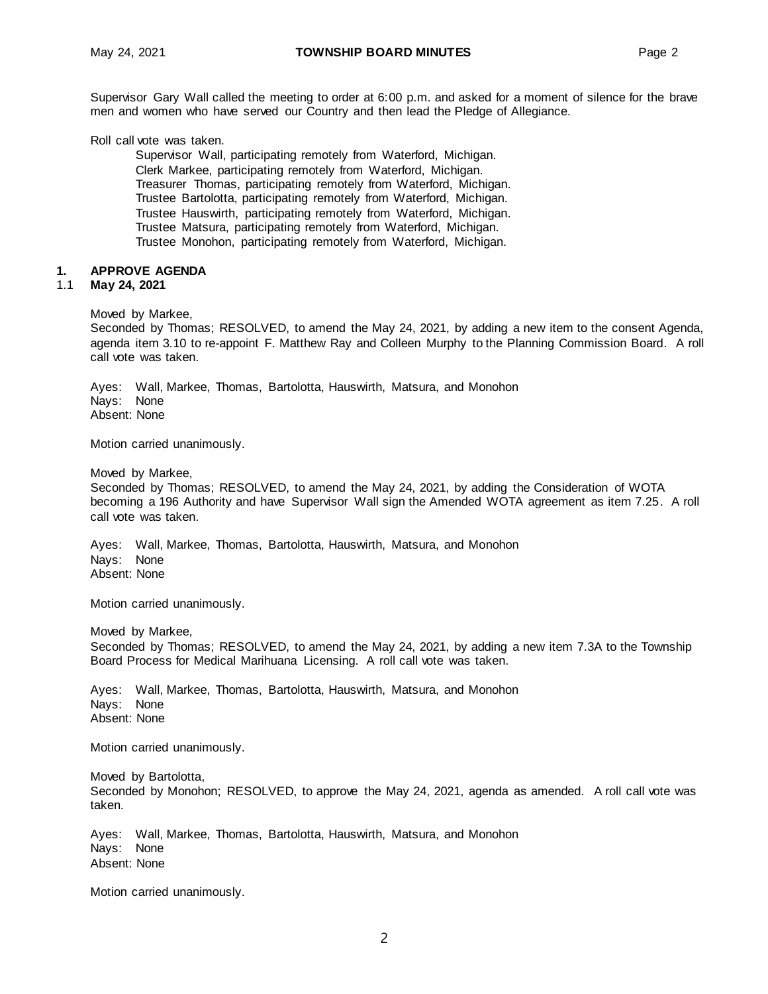Supervisor Gary Wall called the meeting to order at 6:00 p.m. and asked for a moment of silence for the brave men and women who have served our Country and then lead the Pledge of Allegiance.

Roll call vote was taken.

Supervisor Wall, participating remotely from Waterford, Michigan. Clerk Markee, participating remotely from Waterford, Michigan. Treasurer Thomas, participating remotely from Waterford, Michigan. Trustee Bartolotta, participating remotely from Waterford, Michigan. Trustee Hauswirth, participating remotely from Waterford, Michigan. Trustee Matsura, participating remotely from Waterford, Michigan. Trustee Monohon, participating remotely from Waterford, Michigan.

#### **1. APPROVE AGENDA**

#### 1.1 **May 24, 2021**

Moved by Markee,

Seconded by Thomas; RESOLVED, to amend the May 24, 2021, by adding a new item to the consent Agenda, agenda item 3.10 to re-appoint F. Matthew Ray and Colleen Murphy to the Planning Commission Board. A roll call vote was taken.

Ayes: Wall, Markee, Thomas, Bartolotta, Hauswirth, Matsura, and Monohon Nays: None Absent: None

Motion carried unanimously.

Moved by Markee,

Seconded by Thomas; RESOLVED, to amend the May 24, 2021, by adding the Consideration of WOTA becoming a 196 Authority and have Supervisor Wall sign the Amended WOTA agreement as item 7.25. A roll call vote was taken.

Ayes: Wall, Markee, Thomas, Bartolotta, Hauswirth, Matsura, and Monohon Nays: None Absent: None

Motion carried unanimously.

Moved by Markee,

Seconded by Thomas; RESOLVED, to amend the May 24, 2021, by adding a new item 7.3A to the Township Board Process for Medical Marihuana Licensing. A roll call vote was taken.

Ayes: Wall, Markee, Thomas, Bartolotta, Hauswirth, Matsura, and Monohon Nays: None Absent: None

Motion carried unanimously.

Moved by Bartolotta, Seconded by Monohon; RESOLVED, to approve the May 24, 2021, agenda as amended. A roll call vote was taken.

Ayes: Wall, Markee, Thomas, Bartolotta, Hauswirth, Matsura, and Monohon Nays: None Absent: None

Motion carried unanimously.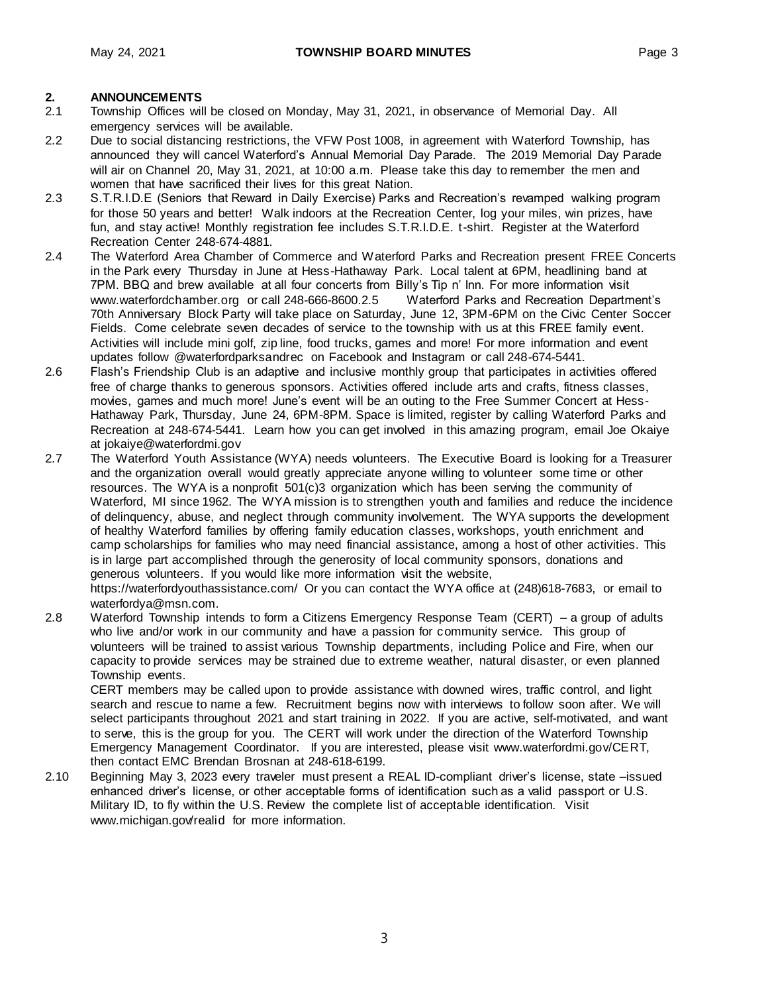- **2. ANNOUNCEMENTS** 2.1 Township Offices will be closed on Monday, May 31, 2021, in observance of Memorial Day. All emergency services will be available.
- 2.2 Due to social distancing restrictions, the VFW Post 1008, in agreement with Waterford Township, has announced they will cancel Waterford's Annual Memorial Day Parade. The 2019 Memorial Day Parade will air on Channel 20, May 31, 2021, at 10:00 a.m. Please take this day to remember the men and women that have sacrificed their lives for this great Nation.
- 2.3 S.T.R.I.D.E (Seniors that Reward in Daily Exercise) Parks and Recreation's revamped walking program for those 50 years and better! Walk indoors at the Recreation Center, log your miles, win prizes, have fun, and stay active! Monthly registration fee includes S.T.R.I.D.E. t-shirt. Register at the Waterford Recreation Center 248-674-4881.
- 2.4 The Waterford Area Chamber of Commerce and Waterford Parks and Recreation present FREE Concerts in the Park every Thursday in June at Hess-Hathaway Park. Local talent at 6PM, headlining band at 7PM. BBQ and brew available at all four concerts from Billy's Tip n' Inn. For more information visit www.waterfordchamber.org or call 248-666-8600.2.5 Waterford Parks and Recreation Department's 70th Anniversary Block Party will take place on Saturday, June 12, 3PM-6PM on the Civic Center Soccer Fields. Come celebrate seven decades of service to the township with us at this FREE family event. Activities will include mini golf, zip line, food trucks, games and more! For more information and event updates follow @waterfordparksandrec on Facebook and Instagram or call 248-674-5441.
- 2.6 Flash's Friendship Club is an adaptive and inclusive monthly group that participates in activities offered free of charge thanks to generous sponsors. Activities offered include arts and crafts, fitness classes, movies, games and much more! June's event will be an outing to the Free Summer Concert at Hess-Hathaway Park, Thursday, June 24, 6PM-8PM. Space is limited, register by calling Waterford Parks and Recreation at 248-674-5441. Learn how you can get involved in this amazing program, email Joe Okaiye at [jokaiye@waterfordmi.gov](mailto:jokaiye@waterfordmi.gov)
- 2.7 The Waterford Youth Assistance (WYA) needs volunteers. The Executive Board is looking for a Treasurer and the organization overall would greatly appreciate anyone willing to volunteer some time or other resources. The WYA is a nonprofit 501(c)3 organization which has been serving the community of Waterford, MI since 1962. The WYA mission is to strengthen youth and families and reduce the incidence of delinquency, abuse, and neglect through community involvement. The WYA supports the development of healthy Waterford families by offering family education classes, workshops, youth enrichment and camp scholarships for families who may need financial assistance, among a host of other activities. This is in large part accomplished through the generosity of local community sponsors, donations and generous volunteers. If you would like more information visit the website,

https://waterfordyouthassistance.com/ Or you can contact the WYA office at (248)618-7683, or email to [waterfordya@msn.com.](mailto:waterfordya@msn.com)

2.8 Waterford Township intends to form a Citizens Emergency Response Team (CERT) – a group of adults who live and/or work in our community and have a passion for community service. This group of volunteers will be trained to assist various Township departments, including Police and Fire, when our capacity to provide services may be strained due to extreme weather, natural disaster, or even planned Township events.

CERT members may be called upon to provide assistance with downed wires, traffic control, and light search and rescue to name a few. Recruitment begins now with interviews to follow soon after. We will select participants throughout 2021 and start training in 2022. If you are active, self-motivated, and want to serve, this is the group for you. The CERT will work under the direction of the Waterford Township Emergency Management Coordinator. If you are interested, please visit www.waterfordmi.gov/CERT, then contact EMC Brendan Brosnan at 248-618-6199.

2.10 Beginning May 3, 2023 every traveler must present a REAL ID-compliant driver's license, state –issued enhanced driver's license, or other acceptable forms of identification such as a valid passport or U.S. Military ID, to fly within the U.S. Review the complete list of acceptable identification. Visit [www.michigan.gov/realid](http://www.michigan.gov/realid) for more information.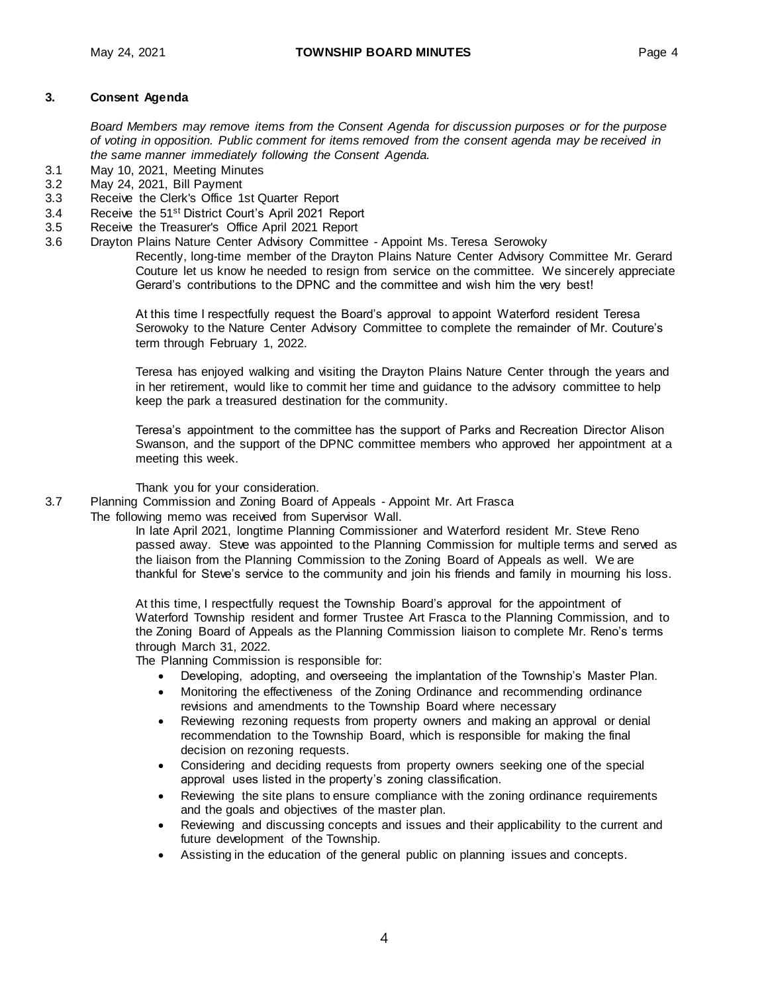#### **3. Consent Agenda**

*Board Members may remove items from the Consent Agenda for discussion purposes or for the purpose of voting in opposition. Public comment for items removed from the consent agenda may be received in the same manner immediately following the Consent Agenda.*

- 3.1 May 10, 2021, Meeting Minutes
- 3.2 May 24, 2021, Bill Payment
- 3.3 Receive the Clerk's Office 1st Quarter Report
- 3.4 Receive the 51st District Court's April 2021 Report
- 3.5 Receive the Treasurer's Office April 2021 Report
- 3.6 Drayton Plains Nature Center Advisory Committee Appoint Ms. Teresa Serowoky

Recently, long-time member of the Drayton Plains Nature Center Advisory Committee Mr. Gerard Couture let us know he needed to resign from service on the committee. We sincerely appreciate Gerard's contributions to the DPNC and the committee and wish him the very best!

At this time I respectfully request the Board's approval to appoint Waterford resident Teresa Serowoky to the Nature Center Advisory Committee to complete the remainder of Mr. Couture's term through February 1, 2022.

Teresa has enjoyed walking and visiting the Drayton Plains Nature Center through the years and in her retirement, would like to commit her time and guidance to the advisory committee to help keep the park a treasured destination for the community.

Teresa's appointment to the committee has the support of Parks and Recreation Director Alison Swanson, and the support of the DPNC committee members who approved her appointment at a meeting this week.

Thank you for your consideration.

3.7 Planning Commission and Zoning Board of Appeals - Appoint Mr. Art Frasca The following memo was received from Supervisor Wall.

> In late April 2021, longtime Planning Commissioner and Waterford resident Mr. Steve Reno passed away. Steve was appointed to the Planning Commission for multiple terms and served as the liaison from the Planning Commission to the Zoning Board of Appeals as well. We are thankful for Steve's service to the community and join his friends and family in mourning his loss.

At this time, I respectfully request the Township Board's approval for the appointment of Waterford Township resident and former Trustee Art Frasca to the Planning Commission, and to the Zoning Board of Appeals as the Planning Commission liaison to complete Mr. Reno's terms through March 31, 2022.

The Planning Commission is responsible for:

- Developing, adopting, and overseeing the implantation of the Township's Master Plan.
- Monitoring the effectiveness of the Zoning Ordinance and recommending ordinance revisions and amendments to the Township Board where necessary
- Reviewing rezoning requests from property owners and making an approval or denial recommendation to the Township Board, which is responsible for making the final decision on rezoning requests.
- Considering and deciding requests from property owners seeking one of the special approval uses listed in the property's zoning classification.
- Reviewing the site plans to ensure compliance with the zoning ordinance requirements and the goals and objectives of the master plan.
- Reviewing and discussing concepts and issues and their applicability to the current and future development of the Township.
- Assisting in the education of the general public on planning issues and concepts.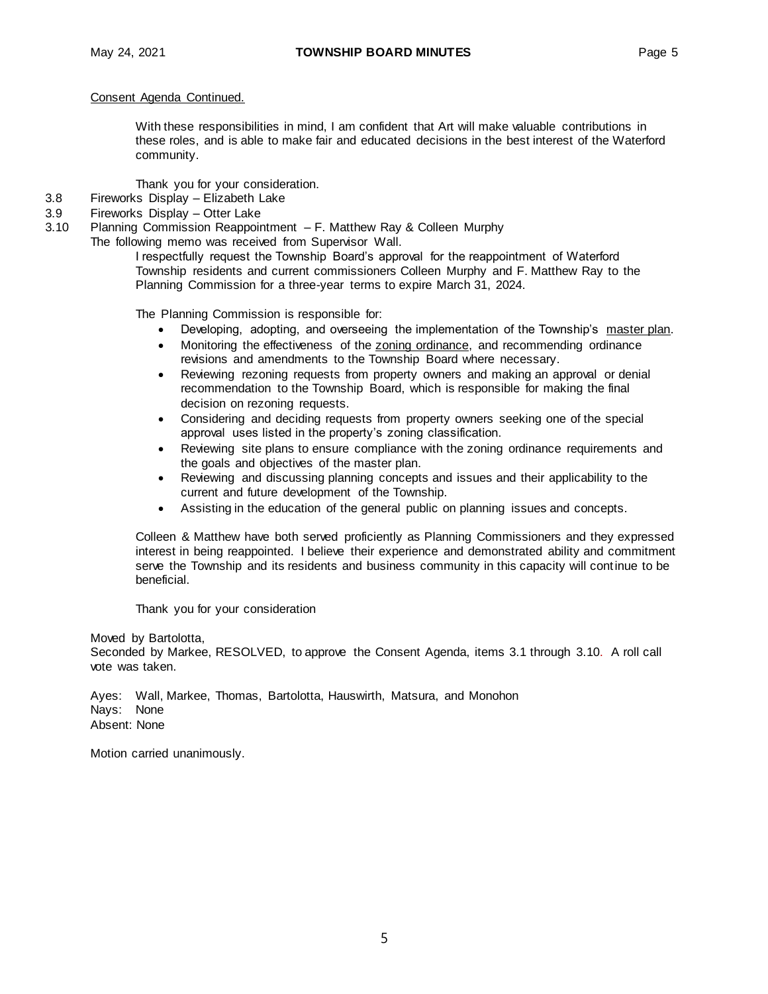#### Consent Agenda Continued.

With these responsibilities in mind, I am confident that Art will make valuable contributions in these roles, and is able to make fair and educated decisions in the best interest of the Waterford community.

Thank you for your consideration.

- 3.8 Fireworks Display Elizabeth Lake
- 3.9 Fireworks Display Otter Lake
- 3.10 Planning Commission Reappointment F. Matthew Ray & Colleen Murphy
	- The following memo was received from Supervisor Wall.

I respectfully request the Township Board's approval for the reappointment of Waterford Township residents and current commissioners Colleen Murphy and F. Matthew Ray to the Planning Commission for a three-year terms to expire March 31, 2024.

The Planning Commission is responsible for:

- Developing, adopting, and overseeing the implementation of the Township's [master plan.](http://twp.waterford.mi.us/Departments/Community-Planning-and-Development/Master-Plan.aspx)
- Monitoring the effectiveness of the [zoning ordinance,](http://twp.waterford.mi.us/Departments/Community-Planning-and-Development/Zoning-Ordinance.aspx) and recommending ordinance revisions and amendments to the Township Board where necessary.
- Reviewing rezoning requests from property owners and making an approval or denial recommendation to the Township Board, which is responsible for making the final decision on rezoning requests.
- Considering and deciding requests from property owners seeking one of the special approval uses listed in the property's zoning classification.
- Reviewing site plans to ensure compliance with the zoning ordinance requirements and the goals and objectives of the master plan.
- Reviewing and discussing planning concepts and issues and their applicability to the current and future development of the Township.
- Assisting in the education of the general public on planning issues and concepts.

Colleen & Matthew have both served proficiently as Planning Commissioners and they expressed interest in being reappointed. I believe their experience and demonstrated ability and commitment serve the Township and its residents and business community in this capacity will continue to be beneficial.

Thank you for your consideration

Moved by Bartolotta,

Seconded by Markee, RESOLVED, to approve the Consent Agenda, items 3.1 through 3.10. A roll call vote was taken.

Ayes: Wall, Markee, Thomas, Bartolotta, Hauswirth, Matsura, and Monohon Nays: None Absent: None

Motion carried unanimously.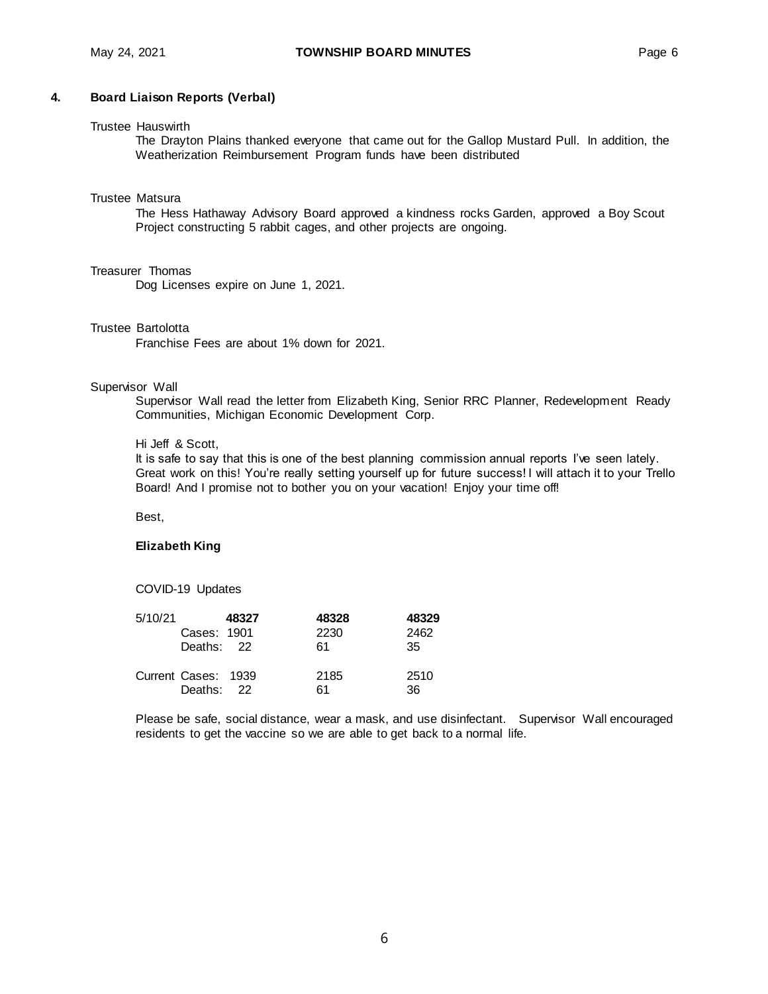#### Trustee Hauswirth

The Drayton Plains thanked everyone that came out for the Gallop Mustard Pull. In addition, the Weatherization Reimbursement Program funds have been distributed

#### Trustee Matsura

The Hess Hathaway Advisory Board approved a kindness rocks Garden, approved a Boy Scout Project constructing 5 rabbit cages, and other projects are ongoing.

#### Treasurer Thomas

Dog Licenses expire on June 1, 2021.

#### Trustee Bartolotta

Franchise Fees are about 1% down for 2021.

#### Supervisor Wall

Supervisor Wall read the letter from Elizabeth King, Senior RRC Planner, Redevelopment Ready Communities, Michigan Economic Development Corp.

#### Hi Jeff & Scott,

It is safe to say that this is one of the best planning commission annual reports I've seen lately. Great work on this! You're really setting yourself up for future success! I will attach it to your Trello Board! And I promise not to bother you on your vacation! Enjoy your time off!

Best,

#### **Elizabeth King**

COVID-19 Updates

| 5/10/21 |                                   | 48327 | 48328      | 48329       |
|---------|-----------------------------------|-------|------------|-------------|
|         | Cases: 1901                       |       | 2230       | 2462        |
|         | Deaths: 22                        |       | 61         | 35          |
|         | Current Cases: 1939<br>Deaths: 22 |       | 2185<br>61 | 2510<br>36. |

Please be safe, social distance, wear a mask, and use disinfectant. Supervisor Wall encouraged residents to get the vaccine so we are able to get back to a normal life.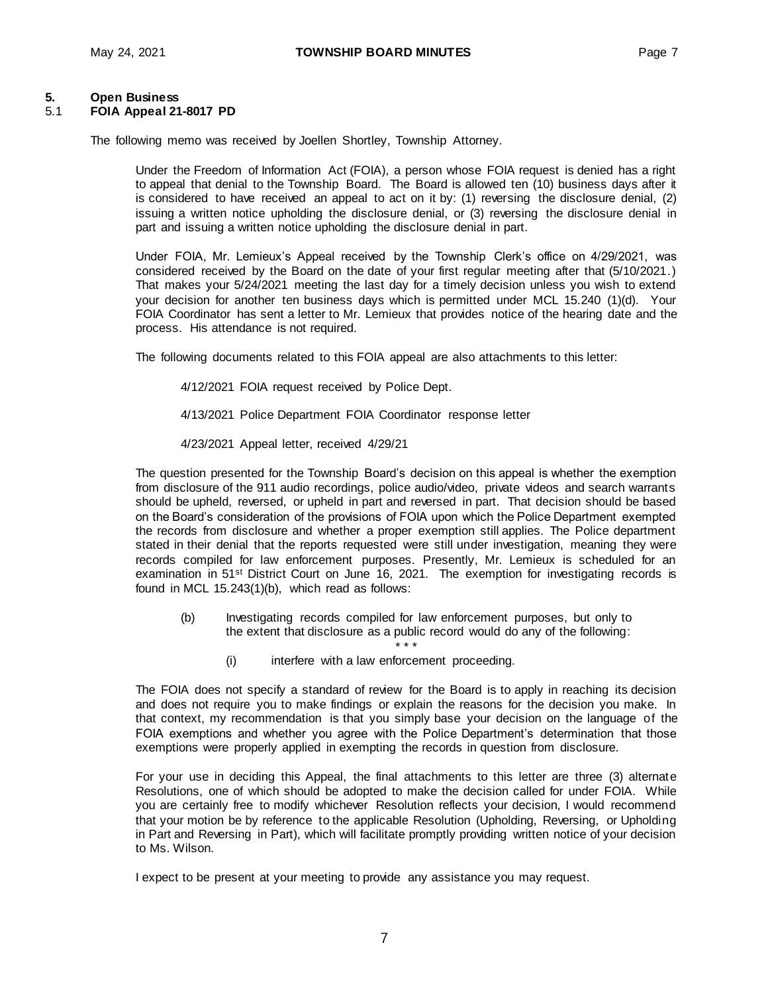# **5. Open Business**

#### 5.1 **FOIA Appeal 21-8017 PD**

The following memo was received by Joellen Shortley, Township Attorney.

Under the Freedom of Information Act (FOIA), a person whose FOIA request is denied has a right to appeal that denial to the Township Board. The Board is allowed ten (10) business days after it is considered to have received an appeal to act on it by: (1) reversing the disclosure denial, (2) issuing a written notice upholding the disclosure denial, or (3) reversing the disclosure denial in part and issuing a written notice upholding the disclosure denial in part.

Under FOIA, Mr. Lemieux's Appeal received by the Township Clerk's office on 4/29/2021, was considered received by the Board on the date of your first regular meeting after that (5/10/2021.) That makes your 5/24/2021 meeting the last day for a timely decision unless you wish to extend your decision for another ten business days which is permitted under MCL 15.240 (1)(d). Your FOIA Coordinator has sent a letter to Mr. Lemieux that provides notice of the hearing date and the process. His attendance is not required.

The following documents related to this FOIA appeal are also attachments to this letter:

- 4/12/2021 FOIA request received by Police Dept.
- 4/13/2021 Police Department FOIA Coordinator response letter
- 4/23/2021 Appeal letter, received 4/29/21

The question presented for the Township Board's decision on this appeal is whether the exemption from disclosure of the 911 audio recordings, police audio/video, private videos and search warrants should be upheld, reversed, or upheld in part and reversed in part. That decision should be based on the Board's consideration of the provisions of FOIA upon which the Police Department exempted the records from disclosure and whether a proper exemption still applies. The Police department stated in their denial that the reports requested were still under investigation, meaning they were records compiled for law enforcement purposes. Presently, Mr. Lemieux is scheduled for an examination in 51<sup>st</sup> District Court on June 16, 2021. The exemption for investigating records is found in MCL 15.243(1)(b), which read as follows:

- (b) Investigating records compiled for law enforcement purposes, but only to the extent that disclosure as a public record would do any of the following:
	- \* \* \* (i) interfere with a law enforcement proceeding.

The FOIA does not specify a standard of review for the Board is to apply in reaching its decision and does not require you to make findings or explain the reasons for the decision you make. In that context, my recommendation is that you simply base your decision on the language of the FOIA exemptions and whether you agree with the Police Department's determination that those exemptions were properly applied in exempting the records in question from disclosure.

For your use in deciding this Appeal, the final attachments to this letter are three (3) alternate Resolutions, one of which should be adopted to make the decision called for under FOIA. While you are certainly free to modify whichever Resolution reflects your decision, I would recommend that your motion be by reference to the applicable Resolution (Upholding, Reversing, or Upholding in Part and Reversing in Part), which will facilitate promptly providing written notice of your decision to Ms. Wilson.

I expect to be present at your meeting to provide any assistance you may request.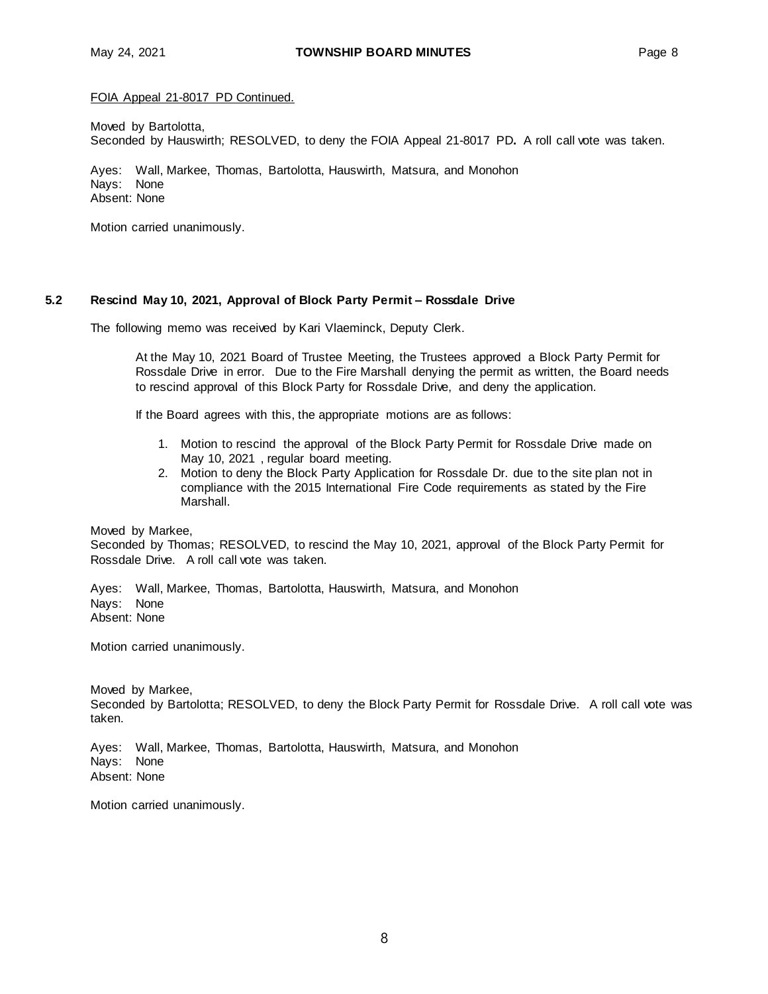FOIA Appeal 21-8017 PD Continued.

Moved by Bartolotta, Seconded by Hauswirth; RESOLVED, to deny the FOIA Appeal 21-8017 PD**.** A roll call vote was taken.

Ayes: Wall, Markee, Thomas, Bartolotta, Hauswirth, Matsura, and Monohon Nays: None Absent: None

Motion carried unanimously.

#### **5.2 Rescind May 10, 2021, Approval of Block Party Permit – Rossdale Drive**

The following memo was received by Kari Vlaeminck, Deputy Clerk.

At the May 10, 2021 Board of Trustee Meeting, the Trustees approved a Block Party Permit for Rossdale Drive in error. Due to the Fire Marshall denying the permit as written, the Board needs to rescind approval of this Block Party for Rossdale Drive, and deny the application.

If the Board agrees with this, the appropriate motions are as follows:

- 1. Motion to rescind the approval of the Block Party Permit for Rossdale Drive made on May 10, 2021 , regular board meeting.
- 2. Motion to deny the Block Party Application for Rossdale Dr. due to the site plan not in compliance with the 2015 International Fire Code requirements as stated by the Fire **Marshall**

Moved by Markee,

Seconded by Thomas; RESOLVED, to rescind the May 10, 2021, approval of the Block Party Permit for Rossdale Drive. A roll call vote was taken.

Ayes: Wall, Markee, Thomas, Bartolotta, Hauswirth, Matsura, and Monohon Nays: None Absent: None

Motion carried unanimously.

Moved by Markee, Seconded by Bartolotta; RESOLVED, to deny the Block Party Permit for Rossdale Drive. A roll call vote was taken.

Ayes: Wall, Markee, Thomas, Bartolotta, Hauswirth, Matsura, and Monohon Nays: None Absent: None

Motion carried unanimously.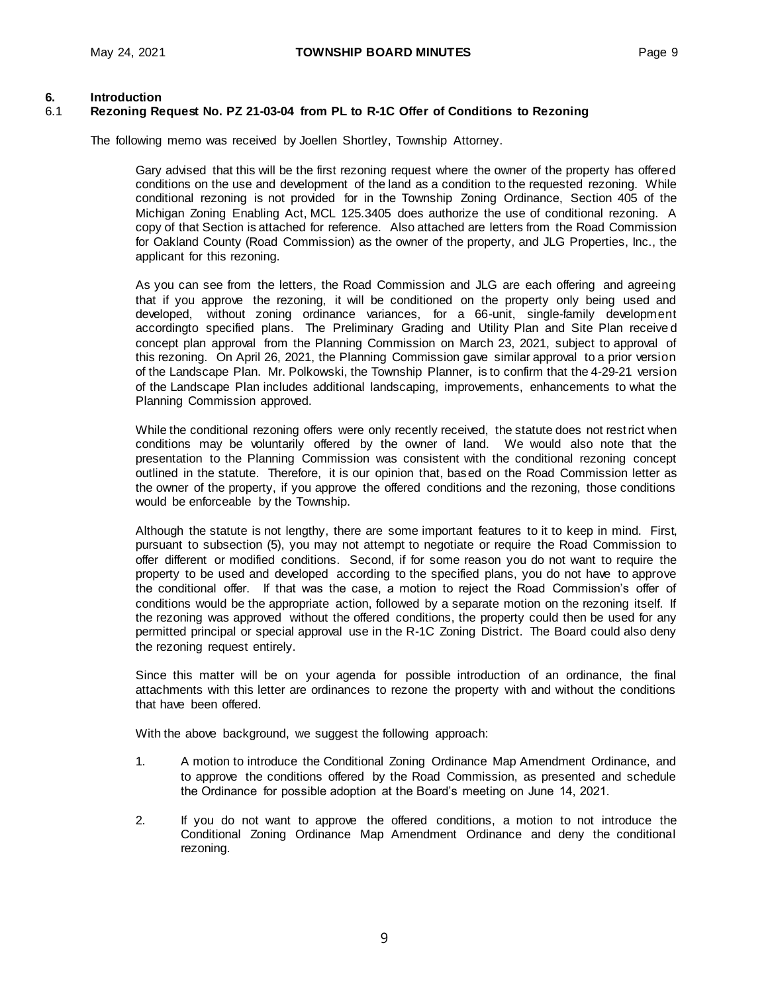#### **6. Introduction**

### 6.1 **Rezoning Request No. PZ 21-03-04 from PL to R-1C Offer of Conditions to Rezoning**

The following memo was received by Joellen Shortley, Township Attorney.

Gary advised that this will be the first rezoning request where the owner of the property has offered conditions on the use and development of the land as a condition to the requested rezoning. While conditional rezoning is not provided for in the Township Zoning Ordinance, Section 405 of the Michigan Zoning Enabling Act, MCL 125.3405 does authorize the use of conditional rezoning. A copy of that Section is attached for reference. Also attached are letters from the Road Commission for Oakland County (Road Commission) as the owner of the property, and JLG Properties, Inc., the applicant for this rezoning.

As you can see from the letters, the Road Commission and JLG are each offering and agreeing that if you approve the rezoning, it will be conditioned on the property only being used and developed, without zoning ordinance variances, for a 66-unit, single-family development accordingto specified plans. The Preliminary Grading and Utility Plan and Site Plan receive d concept plan approval from the Planning Commission on March 23, 2021, subject to approval of this rezoning. On April 26, 2021, the Planning Commission gave similar approval to a prior version of the Landscape Plan. Mr. Polkowski, the Township Planner, is to confirm that the 4-29-21 version of the Landscape Plan includes additional landscaping, improvements, enhancements to what the Planning Commission approved.

While the conditional rezoning offers were only recently received, the statute does not restrict when conditions may be voluntarily offered by the owner of land. We would also note that the presentation to the Planning Commission was consistent with the conditional rezoning concept outlined in the statute. Therefore, it is our opinion that, based on the Road Commission letter as the owner of the property, if you approve the offered conditions and the rezoning, those conditions would be enforceable by the Township.

Although the statute is not lengthy, there are some important features to it to keep in mind. First, pursuant to subsection (5), you may not attempt to negotiate or require the Road Commission to offer different or modified conditions. Second, if for some reason you do not want to require the property to be used and developed according to the specified plans, you do not have to approve the conditional offer. If that was the case, a motion to reject the Road Commission's offer of conditions would be the appropriate action, followed by a separate motion on the rezoning itself. If the rezoning was approved without the offered conditions, the property could then be used for any permitted principal or special approval use in the R-1C Zoning District. The Board could also deny the rezoning request entirely.

Since this matter will be on your agenda for possible introduction of an ordinance, the final attachments with this letter are ordinances to rezone the property with and without the conditions that have been offered.

With the above background, we suggest the following approach:

- 1. A motion to introduce the Conditional Zoning Ordinance Map Amendment Ordinance, and to approve the conditions offered by the Road Commission, as presented and schedule the Ordinance for possible adoption at the Board's meeting on June 14, 2021.
- 2. If you do not want to approve the offered conditions, a motion to not introduce the Conditional Zoning Ordinance Map Amendment Ordinance and deny the conditional rezoning.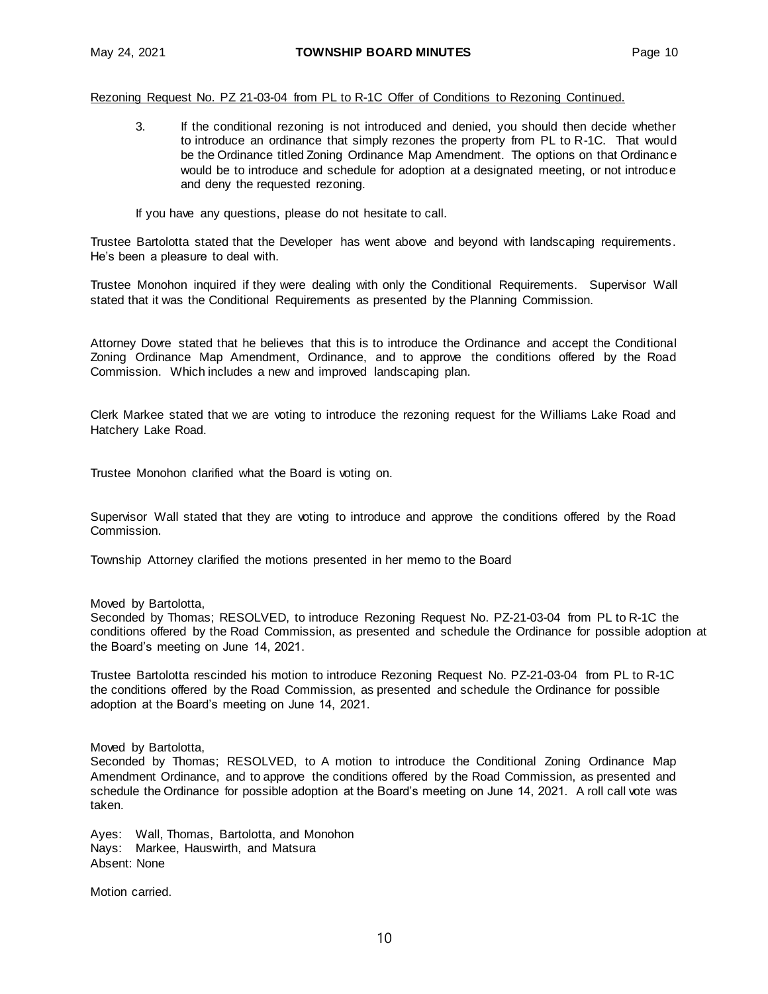#### Rezoning Request No. PZ 21-03-04 from PL to R-1C Offer of Conditions to Rezoning Continued.

3. If the conditional rezoning is not introduced and denied, you should then decide whether to introduce an ordinance that simply rezones the property from PL to R-1C. That would be the Ordinance titled Zoning Ordinance Map Amendment. The options on that Ordinance would be to introduce and schedule for adoption at a designated meeting, or not introduce and deny the requested rezoning.

If you have any questions, please do not hesitate to call.

Trustee Bartolotta stated that the Developer has went above and beyond with landscaping requirements. He's been a pleasure to deal with.

Trustee Monohon inquired if they were dealing with only the Conditional Requirements. Supervisor Wall stated that it was the Conditional Requirements as presented by the Planning Commission.

Attorney Dovre stated that he believes that this is to introduce the Ordinance and accept the Conditional Zoning Ordinance Map Amendment, Ordinance, and to approve the conditions offered by the Road Commission. Which includes a new and improved landscaping plan.

Clerk Markee stated that we are voting to introduce the rezoning request for the Williams Lake Road and Hatchery Lake Road.

Trustee Monohon clarified what the Board is voting on.

Supervisor Wall stated that they are voting to introduce and approve the conditions offered by the Road Commission.

Township Attorney clarified the motions presented in her memo to the Board

Moved by Bartolotta,

Seconded by Thomas; RESOLVED, to introduce Rezoning Request No. PZ-21-03-04 from PL to R-1C the conditions offered by the Road Commission, as presented and schedule the Ordinance for possible adoption at the Board's meeting on June 14, 2021.

Trustee Bartolotta rescinded his motion to introduce Rezoning Request No. PZ-21-03-04 from PL to R-1C the conditions offered by the Road Commission, as presented and schedule the Ordinance for possible adoption at the Board's meeting on June 14, 2021.

Moved by Bartolotta,

Seconded by Thomas; RESOLVED, to A motion to introduce the Conditional Zoning Ordinance Map Amendment Ordinance, and to approve the conditions offered by the Road Commission, as presented and schedule the Ordinance for possible adoption at the Board's meeting on June 14, 2021. A roll call vote was taken.

Ayes: Wall, Thomas, Bartolotta, and Monohon Nays: Markee, Hauswirth, and Matsura Absent: None

Motion carried.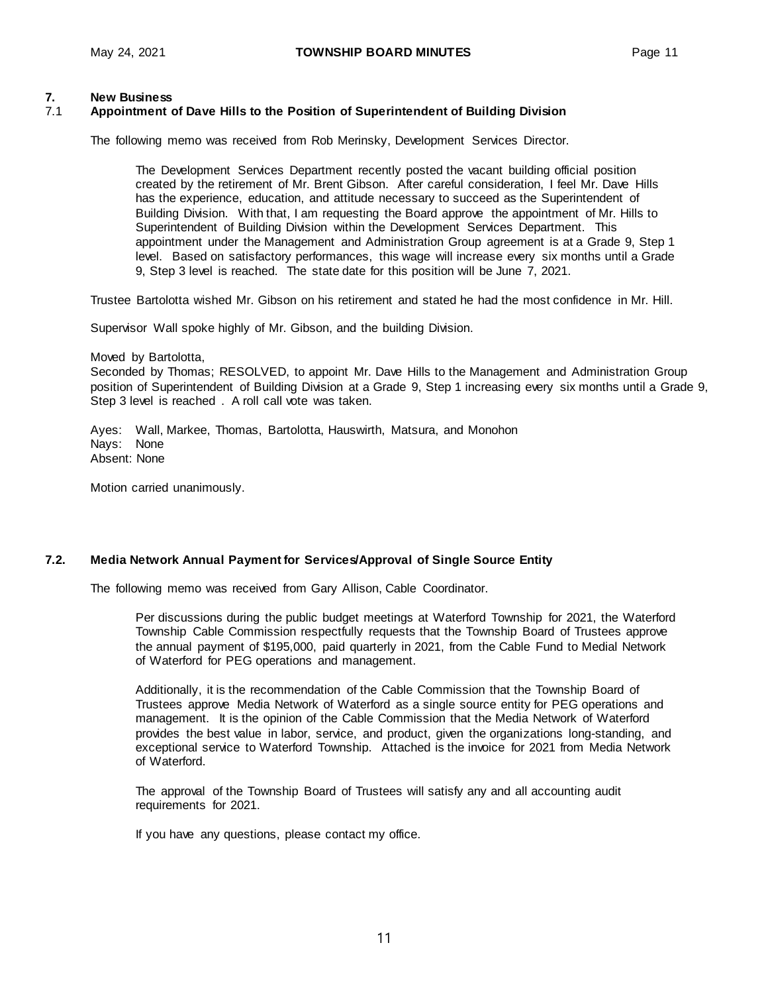## **7. New Business**

#### 7.1 **Appointment of Dave Hills to the Position of Superintendent of Building Division**

The following memo was received from Rob Merinsky, Development Services Director.

The Development Services Department recently posted the vacant building official position created by the retirement of Mr. Brent Gibson. After careful consideration, I feel Mr. Dave Hills has the experience, education, and attitude necessary to succeed as the Superintendent of Building Division. With that, I am requesting the Board approve the appointment of Mr. Hills to Superintendent of Building Division within the Development Services Department. This appointment under the Management and Administration Group agreement is at a Grade 9, Step 1 level. Based on satisfactory performances, this wage will increase every six months until a Grade 9, Step 3 level is reached. The state date for this position will be June 7, 2021.

Trustee Bartolotta wished Mr. Gibson on his retirement and stated he had the most confidence in Mr. Hill.

Supervisor Wall spoke highly of Mr. Gibson, and the building Division.

Moved by Bartolotta,

Seconded by Thomas; RESOLVED, to appoint Mr. Dave Hills to the Management and Administration Group position of Superintendent of Building Division at a Grade 9, Step 1 increasing every six months until a Grade 9, Step 3 level is reached . A roll call vote was taken.

Ayes: Wall, Markee, Thomas, Bartolotta, Hauswirth, Matsura, and Monohon Nays: None Absent: None

Motion carried unanimously.

#### **7.2. Media Network Annual Payment for Services/Approval of Single Source Entity**

The following memo was received from Gary Allison, Cable Coordinator.

Per discussions during the public budget meetings at Waterford Township for 2021, the Waterford Township Cable Commission respectfully requests that the Township Board of Trustees approve the annual payment of \$195,000, paid quarterly in 2021, from the Cable Fund to Medial Network of Waterford for PEG operations and management.

Additionally, it is the recommendation of the Cable Commission that the Township Board of Trustees approve Media Network of Waterford as a single source entity for PEG operations and management. It is the opinion of the Cable Commission that the Media Network of Waterford provides the best value in labor, service, and product, given the organizations long-standing, and exceptional service to Waterford Township. Attached is the invoice for 2021 from Media Network of Waterford.

The approval of the Township Board of Trustees will satisfy any and all accounting audit requirements for 2021.

If you have any questions, please contact my office.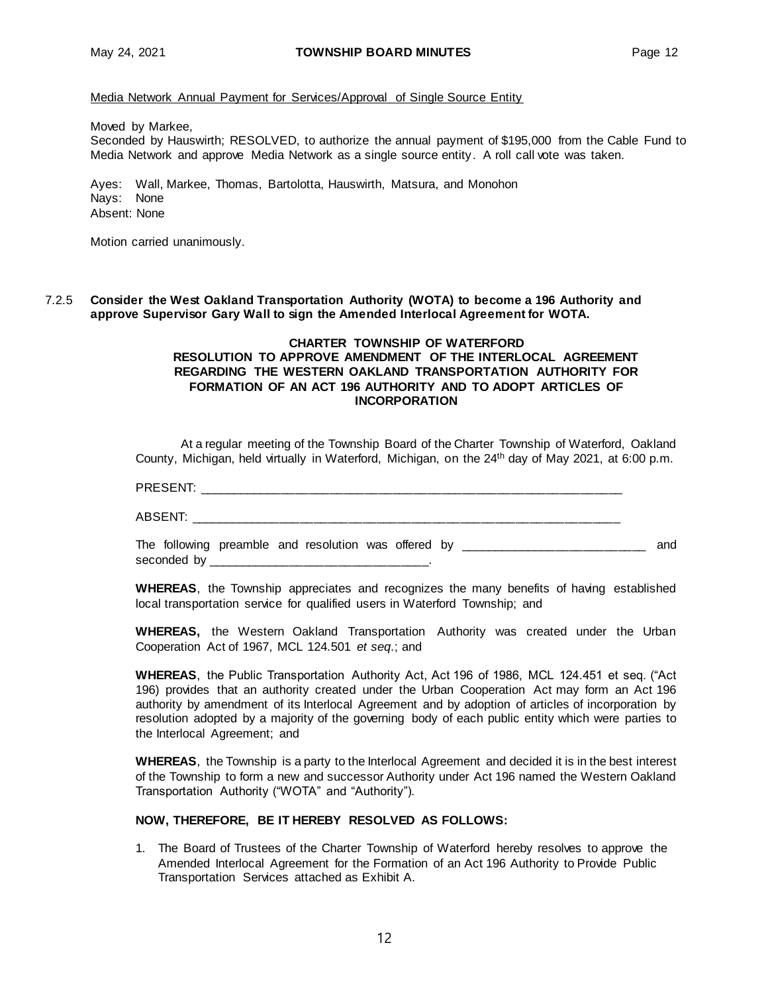Media Network Annual Payment for Services/Approval of Single Source Entity

Moved by Markee,

Seconded by Hauswirth; RESOLVED, to authorize the annual payment of \$195,000 from the Cable Fund to Media Network and approve Media Network as a single source entity. A roll call vote was taken.

Ayes: Wall, Markee, Thomas, Bartolotta, Hauswirth, Matsura, and Monohon Nays: None Absent: None

Motion carried unanimously.

7.2.5 **Consider the West Oakland Transportation Authority (WOTA) to become a 196 Authority and approve Supervisor Gary Wall to sign the Amended Interlocal Agreement for WOTA.**

#### **CHARTER TOWNSHIP OF WATERFORD RESOLUTION TO APPROVE AMENDMENT OF THE INTERLOCAL AGREEMENT REGARDING THE WESTERN OAKLAND TRANSPORTATION AUTHORITY FOR FORMATION OF AN ACT 196 AUTHORITY AND TO ADOPT ARTICLES OF INCORPORATION**

At a regular meeting of the Township Board of the Charter Township of Waterford, Oakland County, Michigan, held virtually in Waterford, Michigan, on the 24<sup>th</sup> day of May 2021, at 6:00 p.m.

PRESENT: \_\_\_\_\_\_\_\_\_\_\_\_\_\_\_\_\_\_\_\_\_\_\_\_\_\_\_\_\_\_\_\_\_\_\_\_\_\_\_\_\_\_\_\_\_\_\_\_\_\_\_\_\_\_\_\_\_\_\_\_\_

ABSENT: \_\_\_\_\_\_\_\_\_\_\_\_\_\_\_\_\_\_\_\_\_\_\_\_\_\_\_\_\_\_\_\_\_\_\_\_\_\_\_\_\_\_\_\_\_\_\_\_\_\_\_\_\_\_\_\_\_\_\_\_\_\_

The following preamble and resolution was offered by \_\_\_\_\_\_\_\_\_\_\_\_\_\_\_\_\_\_\_\_\_\_\_\_\_\_ and seconded by \_\_\_\_\_\_\_\_\_\_\_\_\_\_\_\_\_\_\_\_\_\_\_\_\_\_\_\_\_\_\_\_.

**WHEREAS**, the Township appreciates and recognizes the many benefits of having established local transportation service for qualified users in Waterford Township; and

**WHEREAS,** the Western Oakland Transportation Authority was created under the Urban Cooperation Act of 1967, MCL 124.501 *et seq*.; and

**WHEREAS**, the Public Transportation Authority Act, Act 196 of 1986, MCL 124.451 et seq. ("Act 196) provides that an authority created under the Urban Cooperation Act may form an Act 196 authority by amendment of its Interlocal Agreement and by adoption of articles of incorporation by resolution adopted by a majority of the governing body of each public entity which were parties to the Interlocal Agreement; and

**WHEREAS**, the Township is a party to the Interlocal Agreement and decided it is in the best interest of the Township to form a new and successor Authority under Act 196 named the Western Oakland Transportation Authority ("WOTA" and "Authority").

#### **NOW, THEREFORE, BE IT HEREBY RESOLVED AS FOLLOWS:**

1. The Board of Trustees of the Charter Township of Waterford hereby resolves to approve the Amended Interlocal Agreement for the Formation of an Act 196 Authority to Provide Public Transportation Services attached as Exhibit A.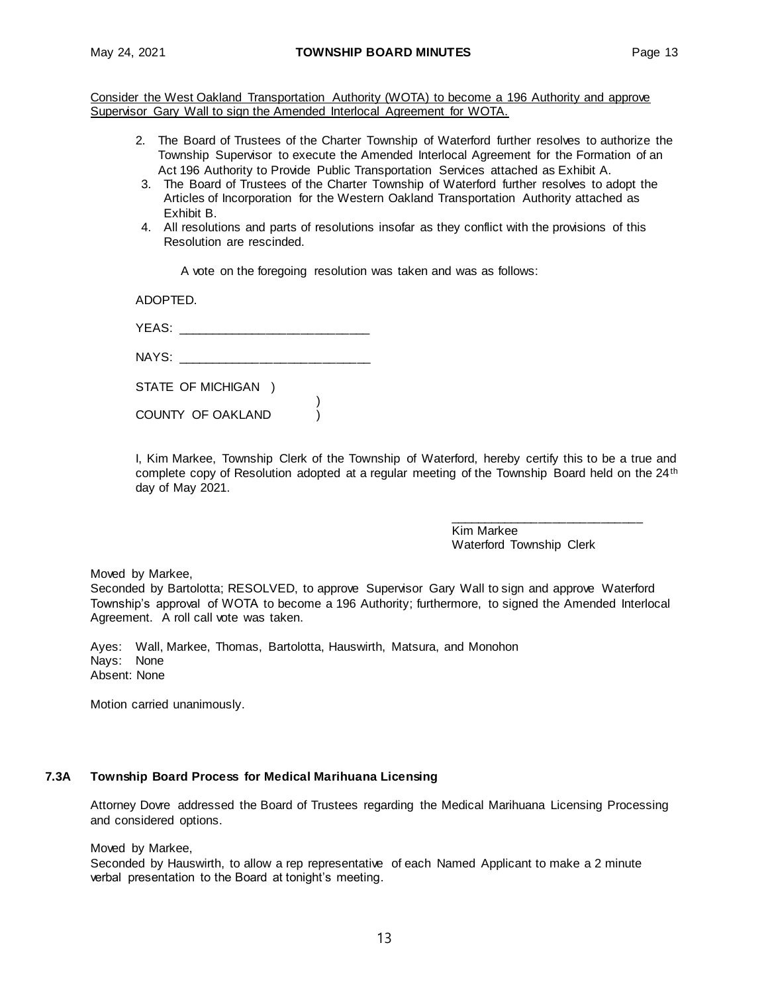Consider the West Oakland Transportation Authority (WOTA) to become a 196 Authority and approve Supervisor Gary Wall to sign the Amended Interlocal Agreement for WOTA.

- 2. The Board of Trustees of the Charter Township of Waterford further resolves to authorize the Township Supervisor to execute the Amended Interlocal Agreement for the Formation of an Act 196 Authority to Provide Public Transportation Services attached as Exhibit A.
- 3. The Board of Trustees of the Charter Township of Waterford further resolves to adopt the Articles of Incorporation for the Western Oakland Transportation Authority attached as Exhibit B.
- 4. All resolutions and parts of resolutions insofar as they conflict with the provisions of this Resolution are rescinded.

A vote on the foregoing resolution was taken and was as follows:

ADOPTED.

| VE A C.<br>I LAJ. |  |
|-------------------|--|
|                   |  |

| NAYS: |  |  |  |  |
|-------|--|--|--|--|
|       |  |  |  |  |

| STATE OF MICHIGAN |
|-------------------|
|-------------------|

COUNTY OF OAKLAND  $\overrightarrow{)}$ 

I, Kim Markee, Township Clerk of the Township of Waterford, hereby certify this to be a true and complete copy of Resolution adopted at a regular meeting of the Township Board held on the 24<sup>th</sup> day of May 2021.

> Kim Markee Waterford Township Clerk

\_\_\_\_\_\_\_\_\_\_\_\_\_\_\_\_\_\_\_\_\_\_\_\_\_\_\_\_

Moved by Markee,

Seconded by Bartolotta; RESOLVED, to approve Supervisor Gary Wall to sign and approve Waterford Township's approval of WOTA to become a 196 Authority; furthermore, to signed the Amended Interlocal Agreement. A roll call vote was taken.

Ayes: Wall, Markee, Thomas, Bartolotta, Hauswirth, Matsura, and Monohon Nays: None Absent: None

)

Motion carried unanimously.

#### **7.3A Township Board Process for Medical Marihuana Licensing**

Attorney Dovre addressed the Board of Trustees regarding the Medical Marihuana Licensing Processing and considered options.

Moved by Markee,

Seconded by Hauswirth, to allow a rep representative of each Named Applicant to make a 2 minute verbal presentation to the Board at tonight's meeting.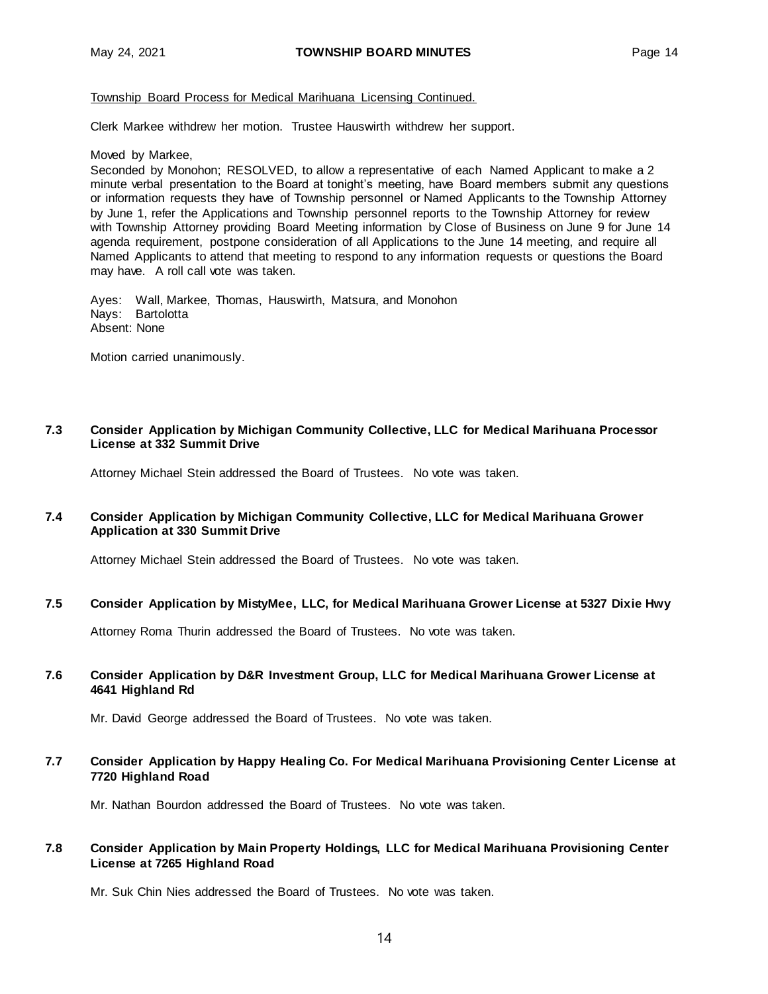#### Township Board Process for Medical Marihuana Licensing Continued.

Clerk Markee withdrew her motion. Trustee Hauswirth withdrew her support.

Moved by Markee,

Seconded by Monohon; RESOLVED, to allow a representative of each Named Applicant to make a 2 minute verbal presentation to the Board at tonight's meeting, have Board members submit any questions or information requests they have of Township personnel or Named Applicants to the Township Attorney by June 1, refer the Applications and Township personnel reports to the Township Attorney for review with Township Attorney providing Board Meeting information by Close of Business on June 9 for June 14 agenda requirement, postpone consideration of all Applications to the June 14 meeting, and require all Named Applicants to attend that meeting to respond to any information requests or questions the Board may have. A roll call vote was taken.

Ayes: Wall, Markee, Thomas, Hauswirth, Matsura, and Monohon Nays: Bartolotta Absent: None

Motion carried unanimously.

#### **7.3 Consider Application by Michigan Community Collective, LLC for Medical Marihuana Processor License at 332 Summit Drive**

Attorney Michael Stein addressed the Board of Trustees. No vote was taken.

#### **7.4 Consider Application by Michigan Community Collective, LLC for Medical Marihuana Grower Application at 330 Summit Drive**

Attorney Michael Stein addressed the Board of Trustees. No vote was taken.

#### **7.5 Consider Application by MistyMee, LLC, for Medical Marihuana Grower License at 5327 Dixie Hwy**

Attorney Roma Thurin addressed the Board of Trustees. No vote was taken.

#### **7.6 Consider Application by D&R Investment Group, LLC for Medical Marihuana Grower License at 4641 Highland Rd**

Mr. David George addressed the Board of Trustees. No vote was taken.

#### **7.7 Consider Application by Happy Healing Co. For Medical Marihuana Provisioning Center License at 7720 Highland Road**

Mr. Nathan Bourdon addressed the Board of Trustees. No vote was taken.

#### **7.8 Consider Application by Main Property Holdings, LLC for Medical Marihuana Provisioning Center License at 7265 Highland Road**

Mr. Suk Chin Nies addressed the Board of Trustees. No vote was taken.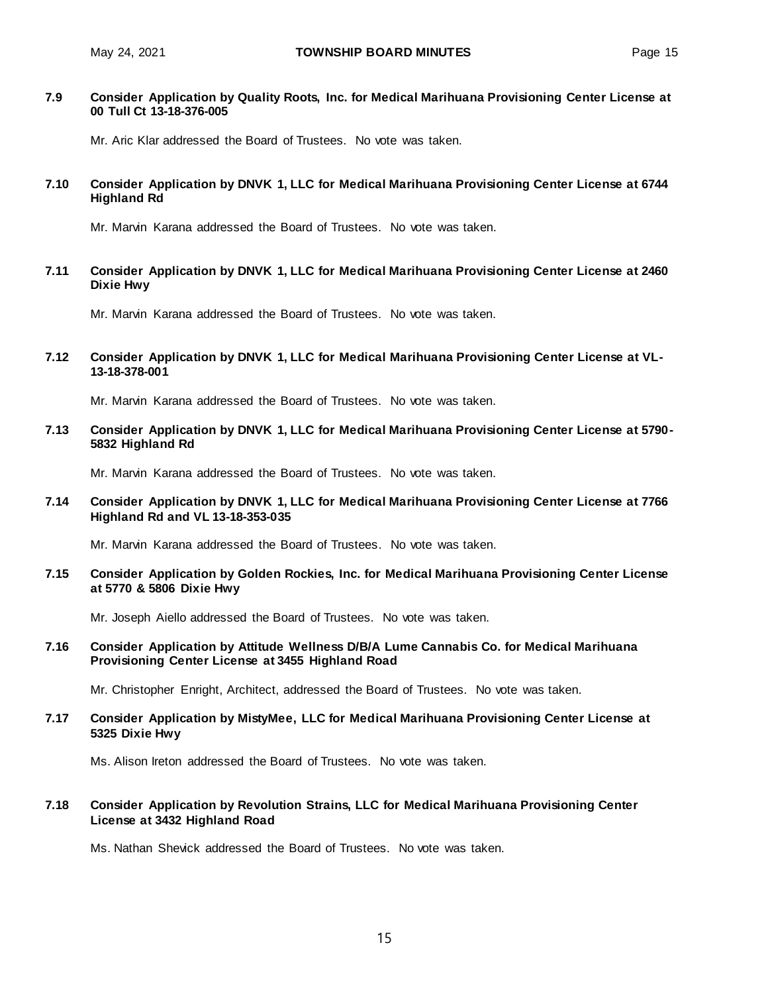#### **7.9 Consider Application by Quality Roots, Inc. for Medical Marihuana Provisioning Center License at 00 Tull Ct 13-18-376-005**

Mr. Aric Klar addressed the Board of Trustees. No vote was taken.

#### **7.10 Consider Application by DNVK 1, LLC for Medical Marihuana Provisioning Center License at 6744 Highland Rd**

Mr. Marvin Karana addressed the Board of Trustees. No vote was taken.

#### **7.11 Consider Application by DNVK 1, LLC for Medical Marihuana Provisioning Center License at 2460 Dixie Hwy**

Mr. Marvin Karana addressed the Board of Trustees. No vote was taken.

#### **7.12 Consider Application by DNVK 1, LLC for Medical Marihuana Provisioning Center License at VL-13-18-378-001**

Mr. Marvin Karana addressed the Board of Trustees. No vote was taken.

**7.13 Consider Application by DNVK 1, LLC for Medical Marihuana Provisioning Center License at 5790- 5832 Highland Rd**

Mr. Marvin Karana addressed the Board of Trustees. No vote was taken.

**7.14 Consider Application by DNVK 1, LLC for Medical Marihuana Provisioning Center License at 7766 Highland Rd and VL 13-18-353-035**

Mr. Marvin Karana addressed the Board of Trustees. No vote was taken.

**7.15 Consider Application by Golden Rockies, Inc. for Medical Marihuana Provisioning Center License at 5770 & 5806 Dixie Hwy**

Mr. Joseph Aiello addressed the Board of Trustees. No vote was taken.

**7.16 Consider Application by Attitude Wellness D/B/A Lume Cannabis Co. for Medical Marihuana Provisioning Center License at 3455 Highland Road**

Mr. Christopher Enright, Architect, addressed the Board of Trustees. No vote was taken.

**7.17 Consider Application by MistyMee, LLC for Medical Marihuana Provisioning Center License at 5325 Dixie Hwy**

Ms. Alison Ireton addressed the Board of Trustees. No vote was taken.

#### **7.18 Consider Application by Revolution Strains, LLC for Medical Marihuana Provisioning Center License at 3432 Highland Road**

Ms. Nathan Shevick addressed the Board of Trustees. No vote was taken.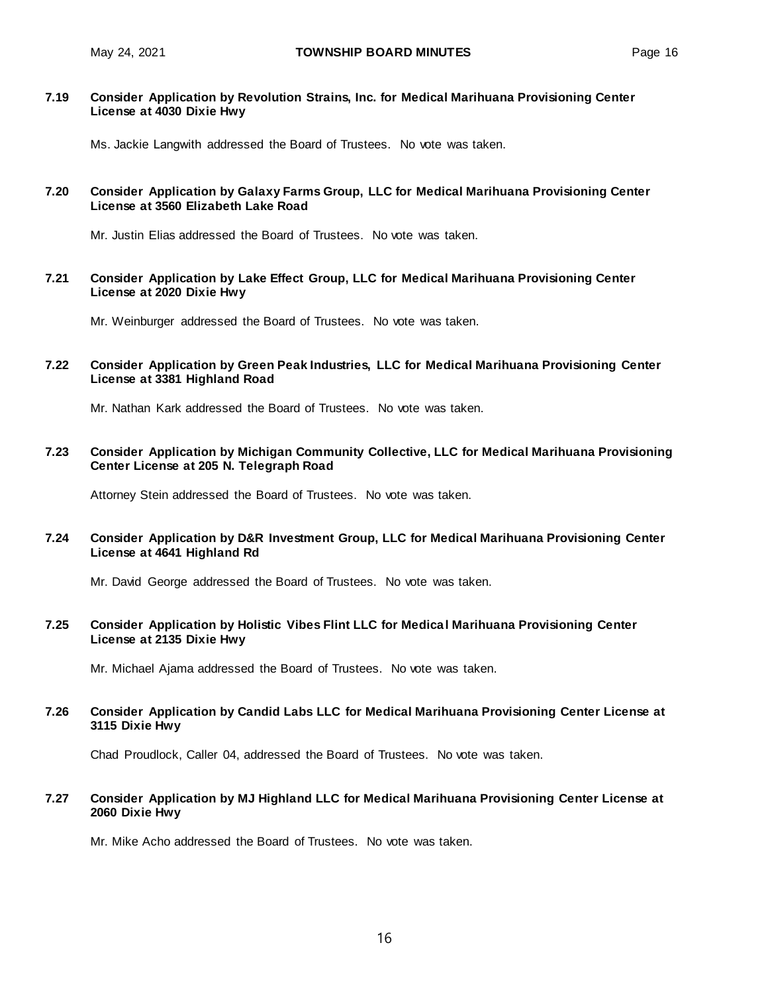#### **7.19 Consider Application by Revolution Strains, Inc. for Medical Marihuana Provisioning Center License at 4030 Dixie Hwy**

Ms. Jackie Langwith addressed the Board of Trustees. No vote was taken.

#### **7.20 Consider Application by Galaxy Farms Group, LLC for Medical Marihuana Provisioning Center License at 3560 Elizabeth Lake Road**

Mr. Justin Elias addressed the Board of Trustees. No vote was taken.

**7.21 Consider Application by Lake Effect Group, LLC for Medical Marihuana Provisioning Center License at 2020 Dixie Hwy**

Mr. Weinburger addressed the Board of Trustees. No vote was taken.

#### **7.22 Consider Application by Green Peak Industries, LLC for Medical Marihuana Provisioning Center License at 3381 Highland Road**

Mr. Nathan Kark addressed the Board of Trustees. No vote was taken.

**7.23 Consider Application by Michigan Community Collective, LLC for Medical Marihuana Provisioning Center License at 205 N. Telegraph Road**

Attorney Stein addressed the Board of Trustees. No vote was taken.

**7.24 Consider Application by D&R Investment Group, LLC for Medical Marihuana Provisioning Center License at 4641 Highland Rd**

Mr. David George addressed the Board of Trustees. No vote was taken.

**7.25 Consider Application by Holistic Vibes Flint LLC for Medical Marihuana Provisioning Center License at 2135 Dixie Hwy**

Mr. Michael Ajama addressed the Board of Trustees. No vote was taken.

**7.26 Consider Application by Candid Labs LLC for Medical Marihuana Provisioning Center License at 3115 Dixie Hwy**

Chad Proudlock, Caller 04, addressed the Board of Trustees. No vote was taken.

**7.27 Consider Application by MJ Highland LLC for Medical Marihuana Provisioning Center License at 2060 Dixie Hwy**

Mr. Mike Acho addressed the Board of Trustees. No vote was taken.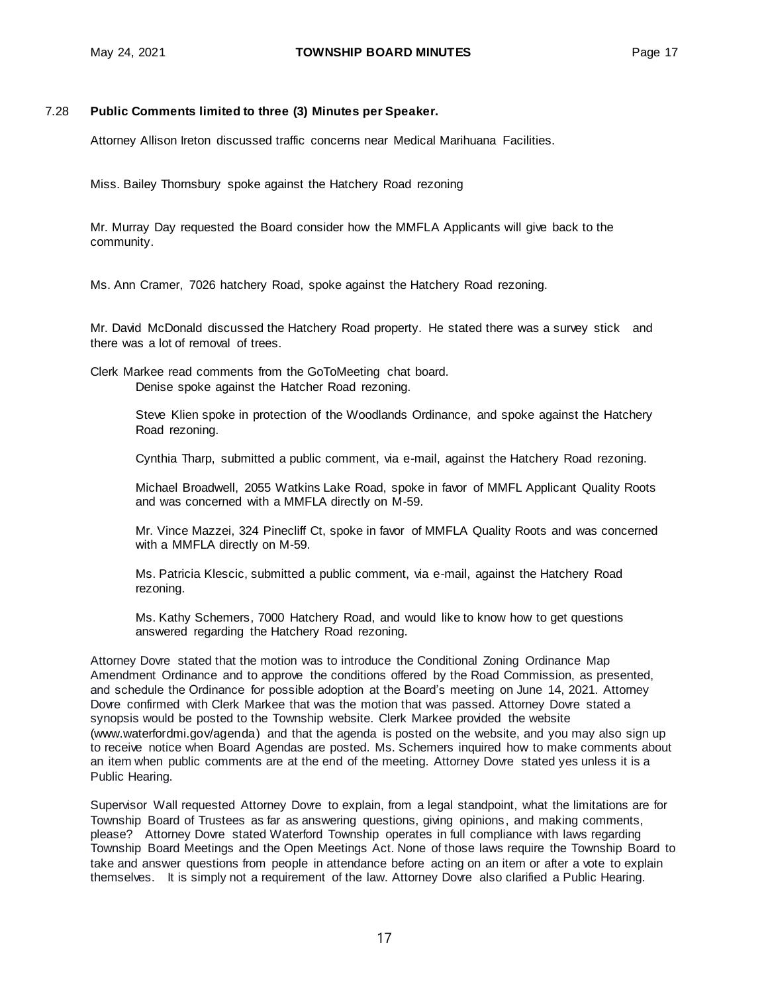#### 7.28 **Public Comments limited to three (3) Minutes per Speaker.**

Attorney Allison Ireton discussed traffic concerns near Medical Marihuana Facilities.

Miss. Bailey Thornsbury spoke against the Hatchery Road rezoning

Mr. Murray Day requested the Board consider how the MMFLA Applicants will give back to the community.

Ms. Ann Cramer, 7026 hatchery Road, spoke against the Hatchery Road rezoning.

Mr. David McDonald discussed the Hatchery Road property. He stated there was a survey stick and there was a lot of removal of trees.

Clerk Markee read comments from the GoToMeeting chat board. Denise spoke against the Hatcher Road rezoning.

> Steve Klien spoke in protection of the Woodlands Ordinance, and spoke against the Hatchery Road rezoning.

Cynthia Tharp, submitted a public comment, via e-mail, against the Hatchery Road rezoning.

Michael Broadwell, 2055 Watkins Lake Road, spoke in favor of MMFL Applicant Quality Roots and was concerned with a MMFLA directly on M-59.

Mr. Vince Mazzei, 324 Pinecliff Ct, spoke in favor of MMFLA Quality Roots and was concerned with a MMFLA directly on M-59.

Ms. Patricia Klescic, submitted a public comment, via e-mail, against the Hatchery Road rezoning.

Ms. Kathy Schemers, 7000 Hatchery Road, and would like to know how to get questions answered regarding the Hatchery Road rezoning.

Attorney Dovre stated that the motion was to introduce the Conditional Zoning Ordinance Map Amendment Ordinance and to approve the conditions offered by the Road Commission, as presented, and schedule the Ordinance for possible adoption at the Board's meeting on June 14, 2021. Attorney Dovre confirmed with Clerk Markee that was the motion that was passed. Attorney Dovre stated a synopsis would be posted to the Township website. Clerk Markee provided the website [\(www.waterfordmi.gov/agenda\)](http://www.waterfordmi.gov/agenda) and that the agenda is posted on the website, and you may also sign up to receive notice when Board Agendas are posted. Ms. Schemers inquired how to make comments about an item when public comments are at the end of the meeting. Attorney Dovre stated yes unless it is a Public Hearing.

Supervisor Wall requested Attorney Dovre to explain, from a legal standpoint, what the limitations are for Township Board of Trustees as far as answering questions, giving opinions, and making comments, please? Attorney Dovre stated Waterford Township operates in full compliance with laws regarding Township Board Meetings and the Open Meetings Act. None of those laws require the Township Board to take and answer questions from people in attendance before acting on an item or after a vote to explain themselves. It is simply not a requirement of the law. Attorney Dovre also clarified a Public Hearing.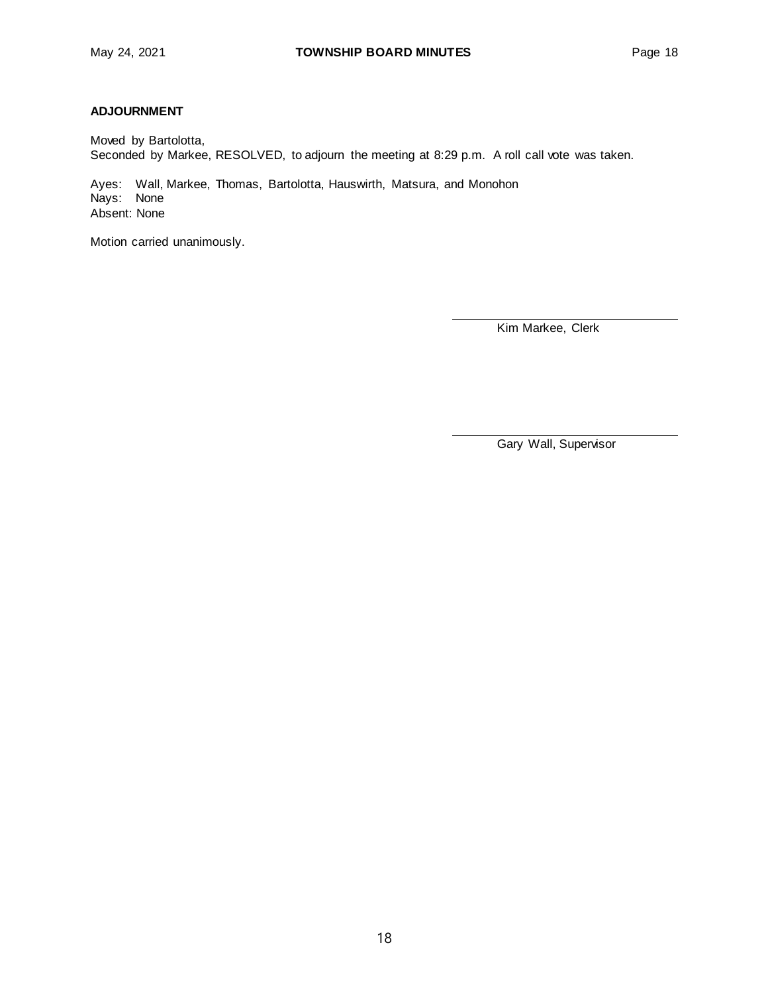### **ADJOURNMENT**

Moved by Bartolotta, Seconded by Markee, RESOLVED, to adjourn the meeting at 8:29 p.m. A roll call vote was taken.

Ayes: Wall, Markee, Thomas, Bartolotta, Hauswirth, Matsura, and Monohon Nays: None Absent: None

Motion carried unanimously.

Kim Markee, Clerk

Gary Wall, Supervisor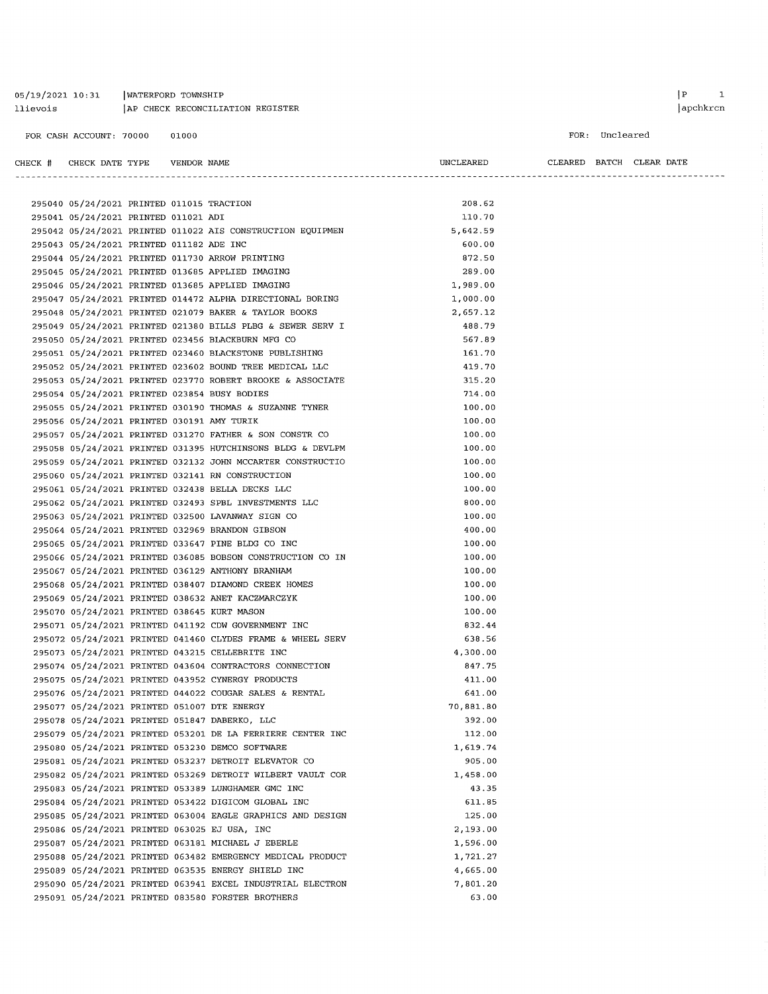| 05/19/2021 10:31 | WATERFORD TOWNSHIP               |
|------------------|----------------------------------|
| llievois         | AP CHECK RECONCILIATION REGISTER |

 $\begin{array}{ccc} \mid & \text{P} & \text{I} \end{array}$ 

#### FOR: Uncleared

#### CHECK # CHECK DATE TYPE VENDOR NAME

| UNCLEARED |
|-----------|
|-----------|

CLEARED BATCH CLEAR DATE 

| 295040 05/24/2021 PRINTED 011015 TRACTION   |  |                                                            | 208.62             |
|---------------------------------------------|--|------------------------------------------------------------|--------------------|
| 295041 05/24/2021 PRINTED 011021 ADI        |  |                                                            | 110.70<br>5,642.59 |
|                                             |  | 295042 05/24/2021 PRINTED 011022 AIS CONSTRUCTION EQUIPMEN | 600.00             |
| 295043 05/24/2021 PRINTED 011182 ADE INC    |  | 295044 05/24/2021 PRINTED 011730 ARROW PRINTING            | 872.50             |
|                                             |  |                                                            | 289.00             |
|                                             |  | 295045 05/24/2021 PRINTED 013685 APPLIED IMAGING           |                    |
|                                             |  | 295046 05/24/2021 PRINTED 013685 APPLIED IMAGING           | 1,989.00           |
|                                             |  | 295047 05/24/2021 PRINTED 014472 ALPHA DIRECTIONAL BORING  | 1,000.00           |
|                                             |  | 295048 05/24/2021 PRINTED 021079 BAKER & TAYLOR BOOKS      | 2,657.12           |
|                                             |  | 295049 05/24/2021 PRINTED 021380 BILLS PLBG & SEWER SERV I | 488.79             |
|                                             |  | 295050 05/24/2021 PRINTED 023456 BLACKBURN MFG CO          | 567.89             |
|                                             |  | 295051 05/24/2021 PRINTED 023460 BLACKSTONE PUBLISHING     | 161.70             |
|                                             |  | 295052 05/24/2021 PRINTED 023602 BOUND TREE MEDICAL LLC    | 419.70             |
|                                             |  | 295053 05/24/2021 PRINTED 023770 ROBERT BROOKE & ASSOCIATE | 315.20             |
|                                             |  | 295054 05/24/2021 PRINTED 023854 BUSY BODIES               | 714.00             |
|                                             |  | 295055 05/24/2021 PRINTED 030190 THOMAS & SUZANNE TYNER    | 100.00             |
| 295056 05/24/2021 PRINTED 030191 AMY TURIK  |  |                                                            | 100.00             |
|                                             |  | 295057 05/24/2021 PRINTED 031270 FATHER & SON CONSTR CO    | 100.00             |
|                                             |  | 295058 05/24/2021 PRINTED 031395 HUTCHINSONS BLDG & DEVLPM | 100.00             |
|                                             |  | 295059 05/24/2021 PRINTED 032132 JOHN MCCARTER CONSTRUCTIO | 100.00             |
|                                             |  | 295060 05/24/2021 PRINTED 032141 RN CONSTRUCTION           | 100.00             |
|                                             |  | 295061 05/24/2021 PRINTED 032438 BELLA DECKS LLC           | 100.00             |
|                                             |  | 295062 05/24/2021 PRINTED 032493 SPBL INVESTMENTS LLC      | 800.00             |
|                                             |  | 295063 05/24/2021 PRINTED 032500 LAVANWAY SIGN CO          | 100.00             |
|                                             |  | 295064 05/24/2021 PRINTED 032969 BRANDON GIBSON            | 400.00             |
|                                             |  | 295065 05/24/2021 PRINTED 033647 PINE BLDG CO INC          | 100.00             |
|                                             |  | 295066 05/24/2021 PRINTED 036085 BOBSON CONSTRUCTION CO IN | 100.00             |
|                                             |  | 295067 05/24/2021 PRINTED 036129 ANTHONY BRANHAM           | 100.00             |
|                                             |  | 295068 05/24/2021 PRINTED 038407 DIAMOND CREEK HOMES       | 100.00             |
|                                             |  | 295069 05/24/2021 PRINTED 038632 ANET KACZMARCZYK          | 100.00             |
| 295070 05/24/2021 PRINTED 038645 KURT MASON |  |                                                            | 100.00             |
|                                             |  | 295071 05/24/2021 PRINTED 041192 CDW GOVERNMENT INC        | 832.44             |
|                                             |  | 295072 05/24/2021 PRINTED 041460 CLYDES FRAME & WHEEL SERV | 638.56             |
|                                             |  | 295073 05/24/2021 PRINTED 043215 CELLEBRITE INC            | 4,300.00           |
|                                             |  | 295074 05/24/2021 PRINTED 043604 CONTRACTORS CONNECTION    | 847.75             |
|                                             |  | 295075 05/24/2021 PRINTED 043952 CYNERGY PRODUCTS          | 411.00             |
|                                             |  | 295076 05/24/2021 PRINTED 044022 COUGAR SALES & RENTAL     | 641.00             |
|                                             |  | 295077 05/24/2021 PRINTED 051007 DTE ENERGY                | 70,881.80          |
|                                             |  | 295078 05/24/2021 PRINTED 051847 DABERKO, LLC              | 392.00             |
|                                             |  | 295079 05/24/2021 PRINTED 053201 DE LA FERRIERE CENTER INC | 112.00             |
|                                             |  | 295080 05/24/2021 PRINTED 053230 DEMCO SOFTWARE            | 1,619.74           |
|                                             |  | 295081 05/24/2021 PRINTED 053237 DETROIT ELEVATOR CO       | 905.00             |
|                                             |  | 295082 05/24/2021 PRINTED 053269 DETROIT WILBERT VAULT COR | 1,458.00           |
|                                             |  | 295083 05/24/2021 PRINTED 053389 LUNGHAMER GMC INC         | 43.35              |
|                                             |  | 295084 05/24/2021 PRINTED 053422 DIGICOM GLOBAL INC        | 611.85             |
|                                             |  | 295085 05/24/2021 PRINTED 063004 EAGLE GRAPHICS AND DESIGN | 125.00             |
|                                             |  | 295086 05/24/2021 PRINTED 063025 EJ USA, INC               | 2,193.00           |
|                                             |  | 295087 05/24/2021 PRINTED 063181 MICHAEL J EBERLE          | 1,596.00           |
|                                             |  | 295088 05/24/2021 PRINTED 063482 EMERGENCY MEDICAL PRODUCT | 1,721.27           |
|                                             |  | 295089 05/24/2021 PRINTED 063535 ENERGY SHIELD INC         | 4,665.00           |
|                                             |  | 295090 05/24/2021 PRINTED 063941 EXCEL INDUSTRIAL ELECTRON | 7,801.20           |
|                                             |  | 295091 05/24/2021 PRINTED 083580 FORSTER BROTHERS          | 63.00              |
|                                             |  |                                                            |                    |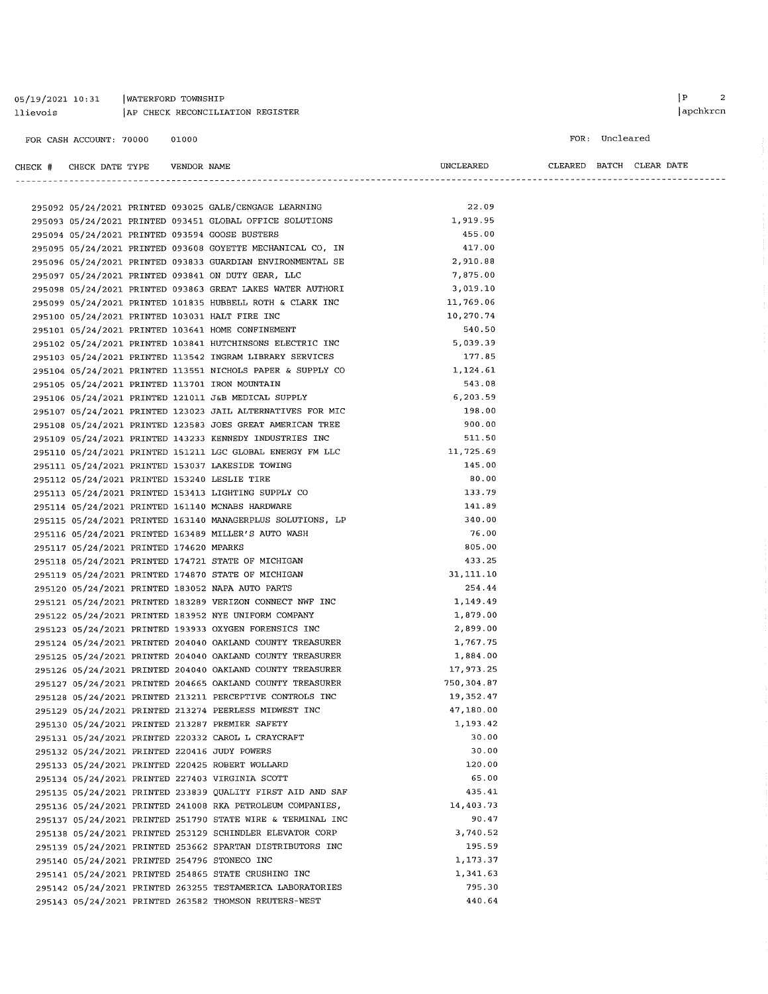05/19/2021 10:31 | WATERFORD TOWNSHIP AP CHECK RECONCILIATION REGISTER llievois

 $FOR:$  Uncle

| FOR CASH ACCOUNT: 70000                 | 01000       |                                                            |            |                | FOR: Uncleared |                          |
|-----------------------------------------|-------------|------------------------------------------------------------|------------|----------------|----------------|--------------------------|
| CHECK # CHECK DATE TYPE                 | VENDOR NAME |                                                            | UNCLEARED  | -------------- |                | CLEARED BATCH CLEAR DATE |
|                                         |             |                                                            |            |                |                |                          |
|                                         |             | 295092 05/24/2021 PRINTED 093025 GALE/CENGAGE LEARNING     | 22.09      |                |                |                          |
|                                         |             | 295093 05/24/2021 PRINTED 093451 GLOBAL OFFICE SOLUTIONS   | 1,919.95   |                |                |                          |
|                                         |             | 295094 05/24/2021 PRINTED 093594 GOOSE BUSTERS             | 455.00     |                |                |                          |
|                                         |             | 295095 05/24/2021 PRINTED 093608 GOYETTE MECHANICAL CO, IN | 417.00     |                |                |                          |
|                                         |             | 295096 05/24/2021 PRINTED 093833 GUARDIAN ENVIRONMENTAL SE | 2,910.88   |                |                |                          |
|                                         |             | 295097 05/24/2021 PRINTED 093841 ON DUTY GEAR, LLC         | 7,875.00   |                |                |                          |
|                                         |             | 295098 05/24/2021 PRINTED 093863 GREAT LAKES WATER AUTHORI | 3,019.10   |                |                |                          |
|                                         |             | 295099 05/24/2021 PRINTED 101835 HUBBELL ROTH & CLARK INC  | 11,769.06  |                |                |                          |
|                                         |             | 295100 05/24/2021 PRINTED 103031 HALT FIRE INC             | 10,270.74  |                |                |                          |
|                                         |             | 295101 05/24/2021 PRINTED 103641 HOME CONFINEMENT          | 540.50     |                |                |                          |
|                                         |             | 295102 05/24/2021 PRINTED 103841 HUTCHINSONS ELECTRIC INC  | 5,039.39   |                |                |                          |
|                                         |             | 295103 05/24/2021 PRINTED 113542 INGRAM LIBRARY SERVICES   | 177.85     |                |                |                          |
|                                         |             | 295104 05/24/2021 PRINTED 113551 NICHOLS PAPER & SUPPLY CO | 1,124.61   |                |                |                          |
|                                         |             | 295105 05/24/2021 PRINTED 113701 IRON MOUNTAIN             | 543.08     |                |                |                          |
|                                         |             | 295106 05/24/2021 PRINTED 121011 J&B MEDICAL SUPPLY        | 6,203.59   |                |                |                          |
|                                         |             | 295107 05/24/2021 PRINTED 123023 JAIL ALTERNATIVES FOR MIC | 198.00     |                |                |                          |
|                                         |             | 295108 05/24/2021 PRINTED 123583 JOES GREAT AMERICAN TREE  | 900.00     |                |                |                          |
|                                         |             | 295109 05/24/2021 PRINTED 143233 KENNEDY INDUSTRIES INC    | 511.50     |                |                |                          |
|                                         |             | 295110 05/24/2021 PRINTED 151211 LGC GLOBAL ENERGY FM LLC  | 11,725.69  |                |                |                          |
|                                         |             | 295111 05/24/2021 PRINTED 153037 LAKESIDE TOWING           | 145.00     |                |                |                          |
|                                         |             | 295112 05/24/2021 PRINTED 153240 LESLIE TIRE               | 80.00      |                |                |                          |
|                                         |             | 295113 05/24/2021 PRINTED 153413 LIGHTING SUPPLY CO        | 133.79     |                |                |                          |
|                                         |             | 295114 05/24/2021 PRINTED 161140 MCNABS HARDWARE           | 141.89     |                |                |                          |
|                                         |             | 295115 05/24/2021 PRINTED 163140 MANAGERPLUS SOLUTIONS, LP | 340.00     |                |                |                          |
|                                         |             | 295116 05/24/2021 PRINTED 163489 MILLER'S AUTO WASH        | 76.00      |                |                |                          |
| 295117 05/24/2021 PRINTED 174620 MPARKS |             |                                                            | 805.00     |                |                |                          |
|                                         |             | 295118 05/24/2021 PRINTED 174721 STATE OF MICHIGAN         | 433.25     |                |                |                          |
|                                         |             | 295119 05/24/2021 PRINTED 174870 STATE OF MICHIGAN         | 31,111.10  |                |                |                          |
|                                         |             | 295120 05/24/2021 PRINTED 183052 NAPA AUTO PARTS           | 254.44     |                |                |                          |
|                                         |             | 295121 05/24/2021 PRINTED 183289 VERIZON CONNECT NWF INC   | 1,149.49   |                |                |                          |
|                                         |             | 295122 05/24/2021 PRINTED 183952 NYE UNIFORM COMPANY       | 1,879.00   |                |                |                          |
|                                         |             | 295123 05/24/2021 PRINTED 193933 OXYGEN FORENSICS INC      | 2,899.00   |                |                |                          |
|                                         |             | 295124 05/24/2021 PRINTED 204040 OAKLAND COUNTY TREASURER  | 1,767.75   |                |                |                          |
|                                         |             | 295125 05/24/2021 PRINTED 204040 OAKLAND COUNTY TREASURER  | 1,884.00   |                |                |                          |
|                                         |             | 295126 05/24/2021 PRINTED 204040 OAKLAND COUNTY TREASURER  | 17,973.25  |                |                |                          |
|                                         |             | 295127 05/24/2021 PRINTED 204665 OAKLAND COUNTY TREASURER  | 750,304.87 |                |                |                          |
|                                         |             | 295128 05/24/2021 PRINTED 213211 PERCEPTIVE CONTROLS INC   | 19,352.47  |                |                |                          |
|                                         |             | 295129 05/24/2021 PRINTED 213274 PEERLESS MIDWEST INC      | 47,180.00  |                |                |                          |
|                                         |             | 295130 05/24/2021 PRINTED 213287 PREMIER SAFETY            | 1,193.42   |                |                |                          |
|                                         |             | 295131 05/24/2021 PRINTED 220332 CAROL L CRAYCRAFT         | 30.00      |                |                |                          |
|                                         |             | 295132 05/24/2021 PRINTED 220416 JUDY POWERS               | 30.00      |                |                |                          |
|                                         |             | 295133 05/24/2021 PRINTED 220425 ROBERT WOLLARD            | 120.00     |                |                |                          |
|                                         |             | 295134 05/24/2021 PRINTED 227403 VIRGINIA SCOTT            | 65.00      |                |                |                          |
|                                         |             | 295135 05/24/2021 PRINTED 233839 QUALITY FIRST AID AND SAF | 435.41     |                |                |                          |
|                                         |             | 295136 05/24/2021 PRINTED 241008 RKA PETROLEUM COMPANIES,  | 14,403.73  |                |                |                          |
|                                         |             | 295137 05/24/2021 PRINTED 251790 STATE WIRE & TERMINAL INC | 90.47      |                |                |                          |
|                                         |             | 295138 05/24/2021 PRINTED 253129 SCHINDLER ELEVATOR CORP   | 3,740.52   |                |                |                          |
|                                         |             | 295139 05/24/2021 PRINTED 253662 SPARTAN DISTRIBUTORS INC  | 195.59     |                |                |                          |
|                                         |             | 295140 05/24/2021 PRINTED 254796 STONECO INC               | 1,173.37   |                |                |                          |
|                                         |             | 295141 05/24/2021 PRINTED 254865 STATE CRUSHING INC        | 1,341.63   |                |                |                          |
|                                         |             | 295142 05/24/2021 PRINTED 263255 TESTAMERICA LABORATORIES  | 795.30     |                |                |                          |
|                                         |             | 295143 05/24/2021 PRINTED 263582 THOMSON REUTERS-WEST      | 440.64     |                |                |                          |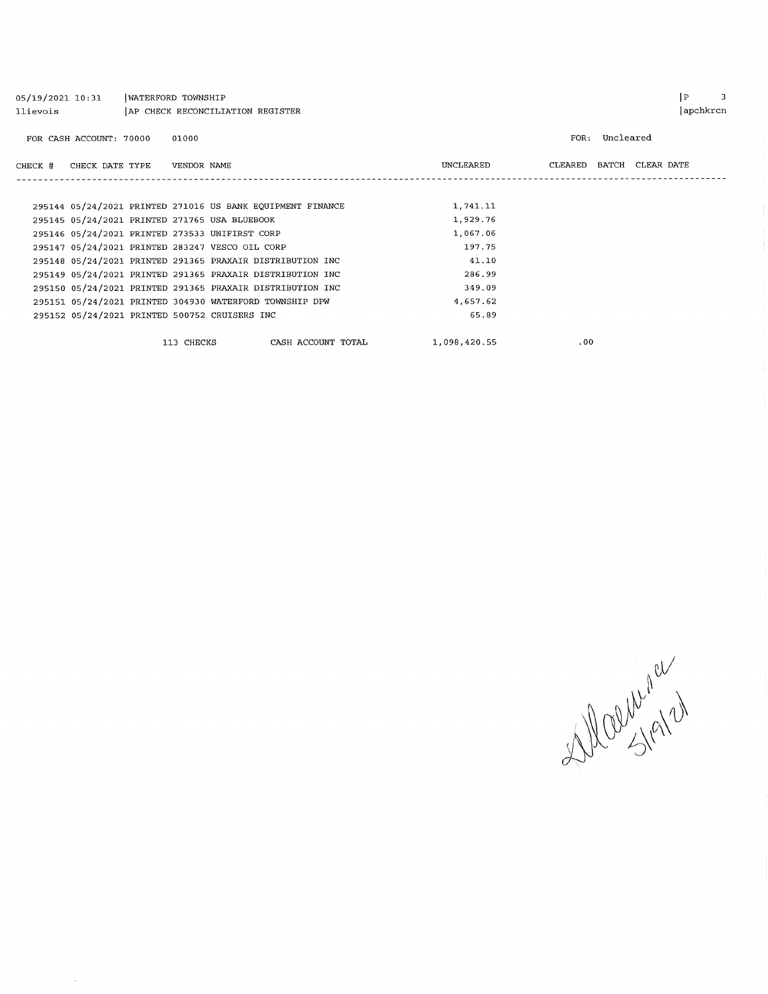| 05/19/2021 10:31<br>llievois |                         | WATERFORD TOWNSHIP |             | AP CHECK RECONCILIATION REGISTER                           |              |      |           | ∣P                       | apchkrcn | 3 |
|------------------------------|-------------------------|--------------------|-------------|------------------------------------------------------------|--------------|------|-----------|--------------------------|----------|---|
|                              | FOR CASH ACCOUNT: 70000 |                    | 01000       |                                                            |              | FOR: | Uncleared |                          |          |   |
| CHECK #                      | CHECK DATE TYPE         |                    | VENDOR NAME |                                                            | UNCLEARED    |      |           | CLEARED BATCH CLEAR DATE |          |   |
|                              |                         |                    |             |                                                            |              |      |           |                          |          |   |
|                              |                         |                    |             | 295144 05/24/2021 PRINTED 271016 US BANK EQUIPMENT FINANCE | 1,741.11     |      |           |                          |          |   |
|                              |                         |                    |             | 295145 05/24/2021 PRINTED 271765 USA BLUEBOOK              | 1,929.76     |      |           |                          |          |   |
|                              |                         |                    |             | 295146 05/24/2021 PRINTED 273533 UNIFIRST CORP             | 1,067.06     |      |           |                          |          |   |
|                              |                         |                    |             | 295147 05/24/2021 PRINTED 283247 VESCO OIL CORP            | 197.75       |      |           |                          |          |   |
|                              |                         |                    |             | 295148 05/24/2021 PRINTED 291365 PRAXAIR DISTRIBUTION INC  | 41.10        |      |           |                          |          |   |
|                              |                         |                    |             | 295149 05/24/2021 PRINTED 291365 PRAXAIR DISTRIBUTION INC  | 286.99       |      |           |                          |          |   |
|                              |                         |                    |             | 295150 05/24/2021 PRINTED 291365 PRAXAIR DISTRIBUTION INC  | 349.09       |      |           |                          |          |   |
|                              |                         |                    |             | 295151 05/24/2021 PRINTED 304930 WATERFORD TOWNSHIP DPW    | 4,657.62     |      |           |                          |          |   |
|                              |                         |                    |             | 295152 05/24/2021 PRINTED 500752 CRUISERS INC              | 65.89        |      |           |                          |          |   |
|                              |                         |                    | 113 CHECKS  | CASH ACCOUNT TOTAL                                         | 1,098,420.55 | .00  |           |                          |          |   |

 $\label{eq:2} \frac{1}{\sqrt{2}}\left(\frac{1}{\sqrt{2}}\right)^2$ 

Walking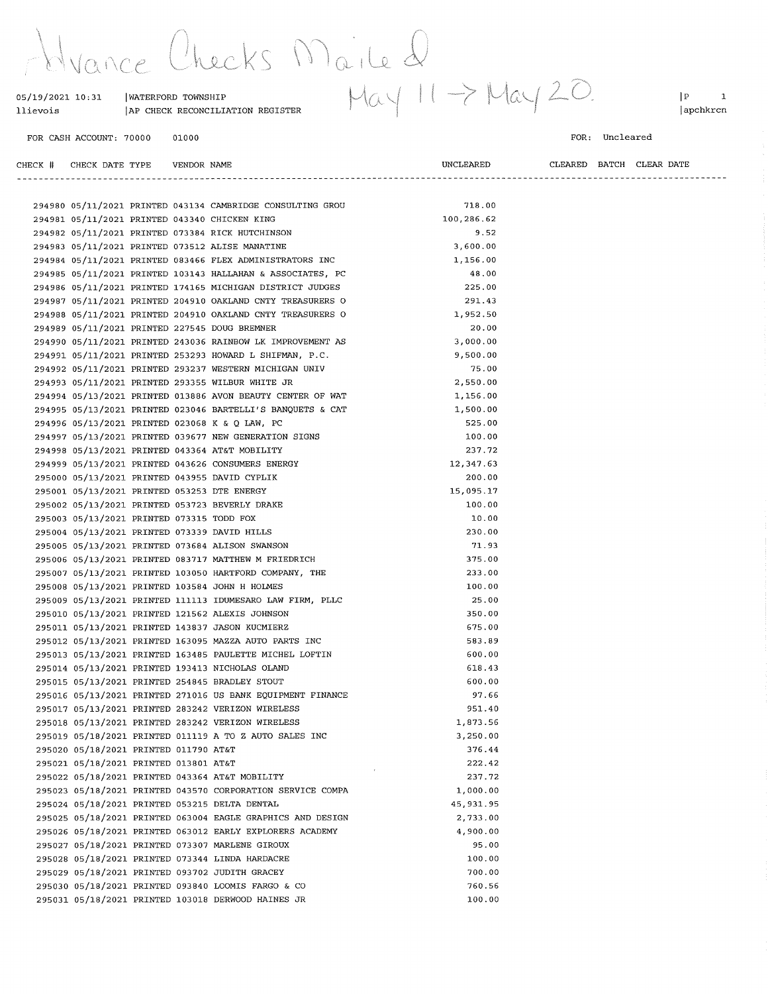Hyance Checks Maile 2<br>05/19/2021 10:31 INATERFORD TOWNSHIP May 11 -> May 20.

| 05/19/2021 10:31        | WATERFORD TOWNSHIP               |
|-------------------------|----------------------------------|
| llievois                | AP CHECK RECONCILIATION REGISTER |
|                         |                                  |
| FOR CASH ACCOUNT: 70000 | 01000                            |

 $|P|$  1 apchkrcn

#### FOR: Uncleared

| CHECK # CHECK DATE TYPE    VENDOR NAME       |  |                                                                                                              | UNCLEARED          |  | CLEARED BATCH CLEAR DATE |
|----------------------------------------------|--|--------------------------------------------------------------------------------------------------------------|--------------------|--|--------------------------|
|                                              |  |                                                                                                              |                    |  |                          |
|                                              |  |                                                                                                              |                    |  |                          |
|                                              |  | 294980 05/11/2021 PRINTED 043134 CAMBRIDGE CONSULTING GROU                                                   | 718.00             |  |                          |
|                                              |  | 294981 05/11/2021 PRINTED 043340 CHICKEN KING                                                                | 100,286.62         |  |                          |
|                                              |  | 294982 05/11/2021 PRINTED 073384 RICK HUTCHINSON                                                             | 9.52               |  |                          |
|                                              |  | 294983 05/11/2021 PRINTED 073512 ALISE MANATINE                                                              | 3,600.00           |  |                          |
|                                              |  | 294984 05/11/2021 PRINTED 083466 FLEX ADMINISTRATORS INC                                                     | 1,156.00           |  |                          |
|                                              |  | 294985 05/11/2021 PRINTED 103143 HALLAHAN & ASSOCIATES, PC                                                   | 48.00              |  |                          |
|                                              |  | 294986 05/11/2021 PRINTED 174165 MICHIGAN DISTRICT JUDGES                                                    | 225.00             |  |                          |
|                                              |  | 294987 05/11/2021 PRINTED 204910 OAKLAND CNTY TREASURERS O                                                   | 291.43<br>1,952.50 |  |                          |
|                                              |  | 294988 05/11/2021 PRINTED 204910 OAKLAND CNTY TREASURERS O                                                   | 20.00              |  |                          |
|                                              |  | 294989 05/11/2021 PRINTED 227545 DOUG BREMNER<br>294990 05/11/2021 PRINTED 243036 RAINBOW LK IMPROVEMENT AS  | 3,000.00           |  |                          |
|                                              |  | 294991 05/11/2021 PRINTED 253293 HOWARD L SHIFMAN, P.C.                                                      | 9,500.00           |  |                          |
|                                              |  | 294992 05/11/2021 PRINTED 293237 WESTERN MICHIGAN UNIV                                                       | 75.00              |  |                          |
|                                              |  | 294993 05/11/2021 PRINTED 293355 WILBUR WHITE JR                                                             | 2,550.00           |  |                          |
|                                              |  | 294994 05/13/2021 PRINTED 013886 AVON BEAUTY CENTER OF WAT                                                   | 1,156.00           |  |                          |
|                                              |  | 294995 05/13/2021 PRINTED 023046 BARTELLI'S BANQUETS & CAT                                                   | 1,500.00           |  |                          |
|                                              |  | 294996 05/13/2021 PRINTED 023068 K & Q LAW, PC                                                               | 525.00             |  |                          |
|                                              |  |                                                                                                              | 100.00             |  |                          |
|                                              |  | 294997 05/13/2021 PRINTED 039677 NEW GENERATION SIGNS                                                        | 237.72             |  |                          |
|                                              |  | 294998 05/13/2021 PRINTED 043364 AT&T MOBILITY                                                               | 12,347.63          |  |                          |
|                                              |  | 294999 05/13/2021 PRINTED 043626 CONSUMERS ENERGY                                                            | 200.00             |  |                          |
|                                              |  | 295000 05/13/2021 PRINTED 043955 DAVID CYPLIK                                                                | 15,095.17          |  |                          |
| 295001 05/13/2021 PRINTED 053253 DTE ENERGY  |  |                                                                                                              |                    |  |                          |
|                                              |  | 295002 05/13/2021 PRINTED 053723 BEVERLY DRAKE                                                               | 100.00             |  |                          |
| 295003 05/13/2021 PRINTED 073315 TODD FOX    |  |                                                                                                              | 10.00<br>230.00    |  |                          |
| 295004 05/13/2021 PRINTED 073339 DAVID HILLS |  |                                                                                                              | 71.93              |  |                          |
|                                              |  | 295005 05/13/2021 PRINTED 073684 ALISON SWANSON                                                              | 375.00             |  |                          |
|                                              |  | 295006 05/13/2021 PRINTED 083717 MATTHEW M FRIEDRICH                                                         | 233.00             |  |                          |
|                                              |  | 295007 05/13/2021 PRINTED 103050 HARTFORD COMPANY, THE                                                       | 100.00             |  |                          |
|                                              |  | 295008 05/13/2021 PRINTED 103584 JOHN H HOLMES                                                               | 25.00              |  |                          |
|                                              |  | 295009 05/13/2021 PRINTED 111113 IDUMESARO LAW FIRM, PLLC<br>295010 05/13/2021 PRINTED 121562 ALEXIS JOHNSON | 350.00             |  |                          |
|                                              |  | 295011 05/13/2021 PRINTED 143837 JASON KUCMIERZ                                                              | 675.00             |  |                          |
|                                              |  | 295012 05/13/2021 PRINTED 163095 MAZZA AUTO PARTS INC                                                        | 583.89             |  |                          |
|                                              |  | 295013 05/13/2021 PRINTED 163485 PAULETTE MICHEL LOFTIN                                                      | 600.00             |  |                          |
|                                              |  | 295014 05/13/2021 PRINTED 193413 NICHOLAS OLAND                                                              | 618.43             |  |                          |
|                                              |  | 295015 05/13/2021 PRINTED 254845 BRADLEY STOUT                                                               | 600.00             |  |                          |
|                                              |  | 295016 05/13/2021 PRINTED 271016 US BANK EQUIPMENT FINANCE                                                   | 97.66              |  |                          |
|                                              |  | 295017 05/13/2021 PRINTED 283242 VERIZON WIRELESS                                                            | 951.40             |  |                          |
|                                              |  | 295018 05/13/2021 PRINTED 283242 VERIZON WIRELESS                                                            | 1,873.56           |  |                          |
|                                              |  | 295019 05/18/2021 PRINTED 011119 A TO Z AUTO SALES INC                                                       | 3,250.00           |  |                          |
| 295020 05/18/2021 PRINTED 011790 AT&T        |  |                                                                                                              | 376.44             |  |                          |
| 295021 05/18/2021 PRINTED 013801 AT&T        |  |                                                                                                              | 222.42             |  |                          |
|                                              |  | 295022 05/18/2021 PRINTED 043364 AT&T MOBILITY                                                               | 237.72             |  |                          |
|                                              |  | 295023 05/18/2021 PRINTED 043570 CORPORATION SERVICE COMPA                                                   | 1,000.00           |  |                          |
|                                              |  | 295024 05/18/2021 PRINTED 053215 DELTA DENTAL                                                                | 45, 931.95         |  |                          |
|                                              |  | 295025 05/18/2021 PRINTED 063004 EAGLE GRAPHICS AND DESIGN                                                   | 2,733.00           |  |                          |
|                                              |  | 295026 05/18/2021 PRINTED 063012 EARLY EXPLORERS ACADEMY                                                     | 4,900.00           |  |                          |
|                                              |  | 295027 05/18/2021 PRINTED 073307 MARLENE GIROUX                                                              | 95.00              |  |                          |
|                                              |  | 295028 05/18/2021 PRINTED 073344 LINDA HARDACRE                                                              | 100.00             |  |                          |
|                                              |  | 295029 05/18/2021 PRINTED 093702 JUDITH GRACEY                                                               | 700.00             |  |                          |
|                                              |  | 295030 05/18/2021 PRINTED 093840 LOOMIS FARGO & CO                                                           | 760.56             |  |                          |
|                                              |  | 295031 05/18/2021 PRINTED 103018 DERWOOD HAINES JR                                                           | 100.00             |  |                          |
|                                              |  |                                                                                                              |                    |  |                          |